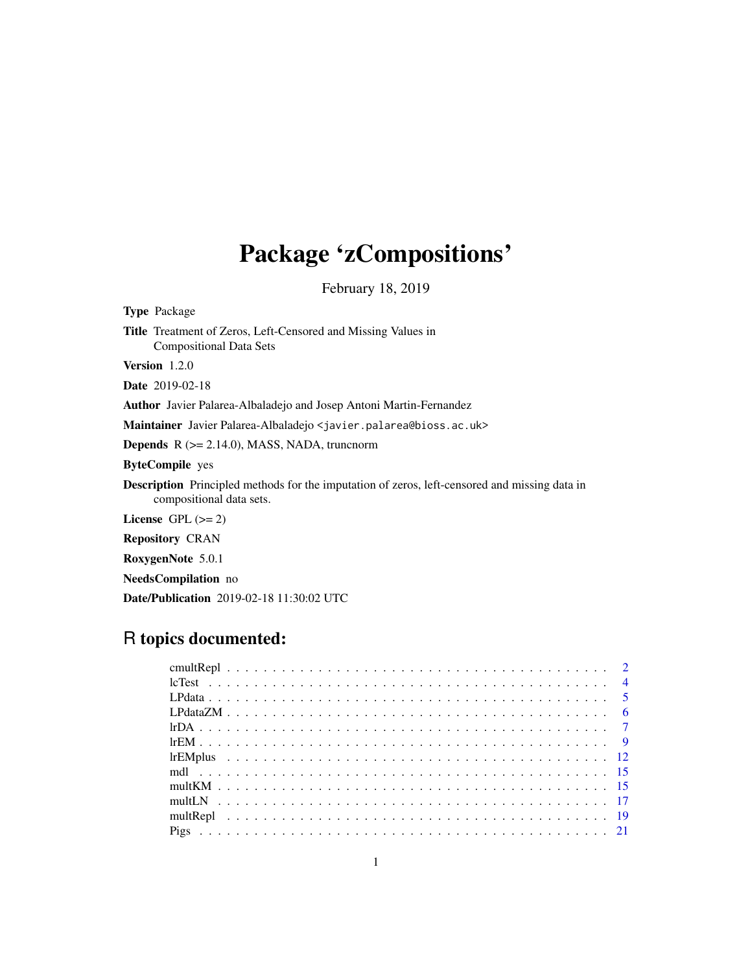## Package 'zCompositions'

February 18, 2019

<span id="page-0-0"></span>

| <b>Type Package</b>                                                                                                              |
|----------------------------------------------------------------------------------------------------------------------------------|
| <b>Title</b> Treatment of Zeros, Left-Censored and Missing Values in<br><b>Compositional Data Sets</b>                           |
| <b>Version</b> $1.2.0$                                                                                                           |
| <b>Date</b> 2019-02-18                                                                                                           |
| <b>Author</b> Javier Palarea-Albaladejo and Josep Antoni Martin-Fernandez                                                        |
| Maintainer Javier Palarea-Albaladejo < javier.palarea@bioss.ac.uk>                                                               |
| <b>Depends</b> $R$ ( $>= 2.14.0$ ), MASS, NADA, truncnorm                                                                        |
| <b>ByteCompile</b> yes                                                                                                           |
| <b>Description</b> Principled methods for the imputation of zeros, left-censored and missing data in<br>compositional data sets. |
| License $GPL (= 2)$                                                                                                              |
| <b>Repository CRAN</b>                                                                                                           |
| RoxygenNote 5.0.1                                                                                                                |

NeedsCompilation no

Date/Publication 2019-02-18 11:30:02 UTC

### R topics documented: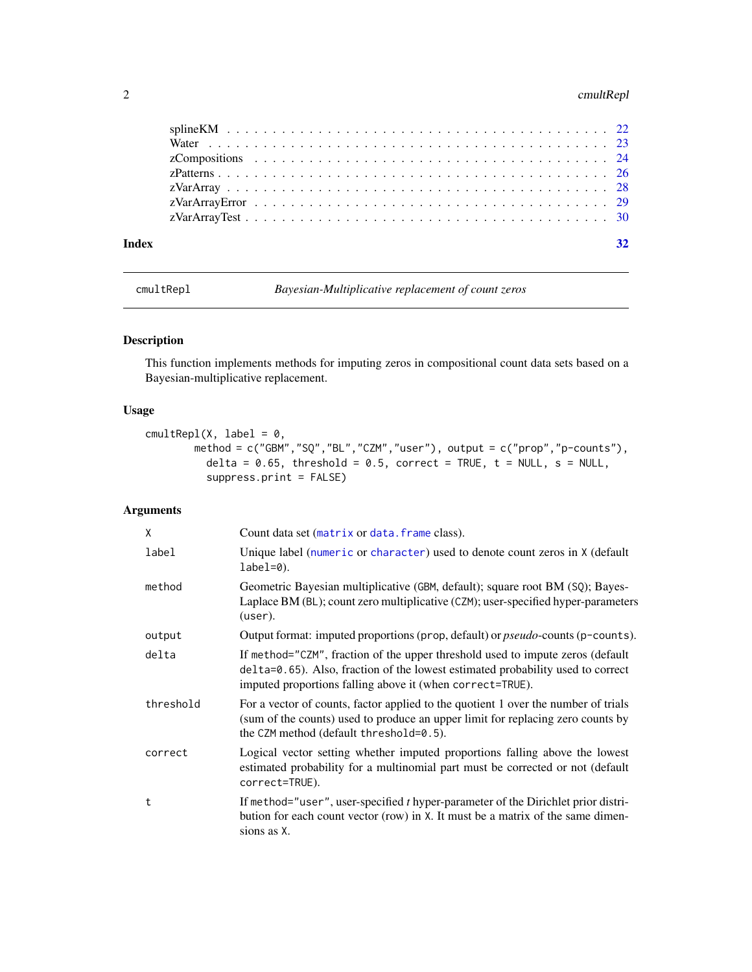### <span id="page-1-0"></span>2 cmultRepl

| Index |  |  |  |  |  |  |  |  |  |  |  |  |  |  |  |  |  |  | 32 |
|-------|--|--|--|--|--|--|--|--|--|--|--|--|--|--|--|--|--|--|----|

<span id="page-1-1"></span>cmultRepl *Bayesian-Multiplicative replacement of count zeros*

#### Description

This function implements methods for imputing zeros in compositional count data sets based on a Bayesian-multiplicative replacement.

#### Usage

```
cmultRep1(X, label = 0,method = c("GBM","SQ","BL","CZM","user"), output = c("prop","p-counts"),
         delta = 0.65, threshold = 0.5, correct = TRUE, t = NULL, s = NULL,
         suppress.print = FALSE)
```
#### Arguments

| X         | Count data set (matrix or data. frame class).                                                                                                                                                                                  |
|-----------|--------------------------------------------------------------------------------------------------------------------------------------------------------------------------------------------------------------------------------|
| label     | Unique label (numeric or character) used to denote count zeros in X (default<br>$label=0.$                                                                                                                                     |
| method    | Geometric Bayesian multiplicative (GBM, default); square root BM (SQ); Bayes-<br>Laplace BM (BL); count zero multiplicative (CZM); user-specified hyper-parameters<br>(user).                                                  |
| output    | Output format: imputed proportions (prop, default) or <i>pseudo-counts</i> (p-counts).                                                                                                                                         |
| delta     | If method="CZM", fraction of the upper threshold used to impute zeros (default<br>delta=0.65). Also, fraction of the lowest estimated probability used to correct<br>imputed proportions falling above it (when correct=TRUE). |
| threshold | For a vector of counts, factor applied to the quotient 1 over the number of trials<br>(sum of the counts) used to produce an upper limit for replacing zero counts by<br>the CZM method (default threshold=0.5).               |
| correct   | Logical vector setting whether imputed proportions falling above the lowest<br>estimated probability for a multinomial part must be corrected or not (default<br>correct=TRUE).                                                |
| t         | If method="user", user-specified $t$ hyper-parameter of the Dirichlet prior distri-<br>bution for each count vector (row) in X. It must be a matrix of the same dimen-<br>sions as X.                                          |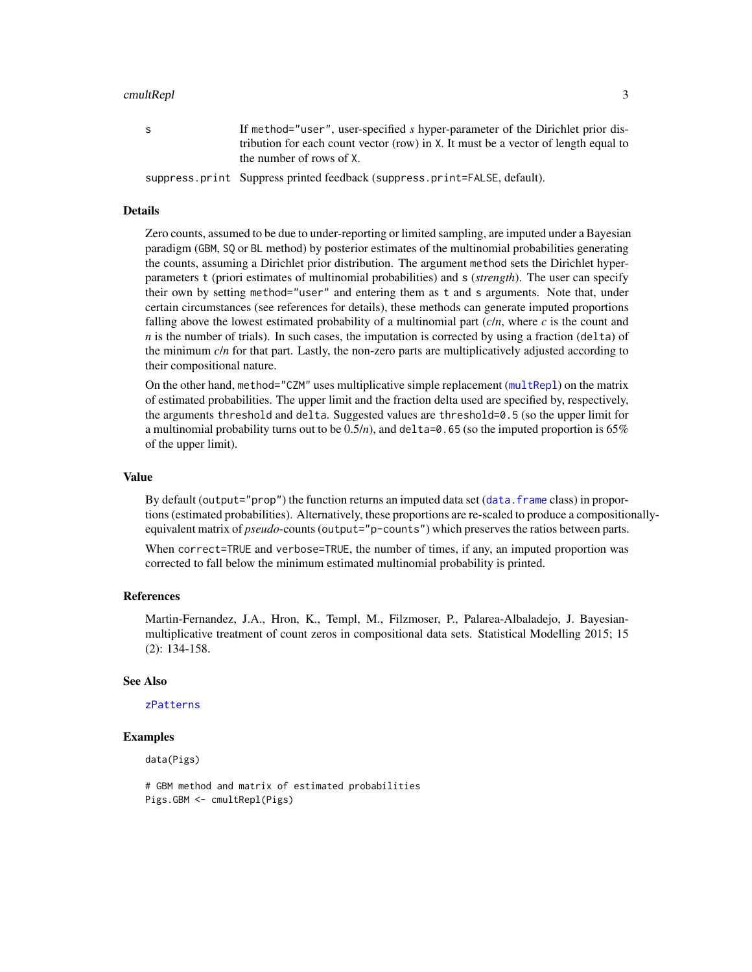#### <span id="page-2-0"></span>cmultRepl 3

| -S | If method="user", user-specified s hyper-parameter of the Dirichlet prior dis-     |
|----|------------------------------------------------------------------------------------|
|    | tribution for each count vector (row) in X. It must be a vector of length equal to |
|    | the number of rows of X.                                                           |

suppress.print Suppress printed feedback (suppress.print=FALSE, default).

#### Details

Zero counts, assumed to be due to under-reporting or limited sampling, are imputed under a Bayesian paradigm (GBM, SQ or BL method) by posterior estimates of the multinomial probabilities generating the counts, assuming a Dirichlet prior distribution. The argument method sets the Dirichlet hyperparameters t (priori estimates of multinomial probabilities) and s (*strength*). The user can specify their own by setting method="user" and entering them as t and s arguments. Note that, under certain circumstances (see references for details), these methods can generate imputed proportions falling above the lowest estimated probability of a multinomial part  $(c/n)$ , where  $c$  is the count and  $n$  is the number of trials). In such cases, the imputation is corrected by using a fraction (delta) of the minimum *c*/*n* for that part. Lastly, the non-zero parts are multiplicatively adjusted according to their compositional nature.

On the other hand, method="CZM" uses multiplicative simple replacement ([multRepl](#page-18-1)) on the matrix of estimated probabilities. The upper limit and the fraction delta used are specified by, respectively, the arguments threshold and delta. Suggested values are threshold=0.5 (so the upper limit for a multinomial probability turns out to be 0.5/*n*), and delta=0.65 (so the imputed proportion is 65% of the upper limit).

#### Value

By default (output="prop") the function returns an imputed data set (data.  $f$ rame class) in proportions (estimated probabilities). Alternatively, these proportions are re-scaled to produce a compositionallyequivalent matrix of *pseudo*-counts (output="p-counts") which preserves the ratios between parts.

When correct=TRUE and verbose=TRUE, the number of times, if any, an imputed proportion was corrected to fall below the minimum estimated multinomial probability is printed.

#### References

Martin-Fernandez, J.A., Hron, K., Templ, M., Filzmoser, P., Palarea-Albaladejo, J. Bayesianmultiplicative treatment of count zeros in compositional data sets. Statistical Modelling 2015; 15 (2): 134-158.

#### See Also

#### [zPatterns](#page-25-1)

#### Examples

```
data(Pigs)
```
# GBM method and matrix of estimated probabilities Pigs.GBM <- cmultRepl(Pigs)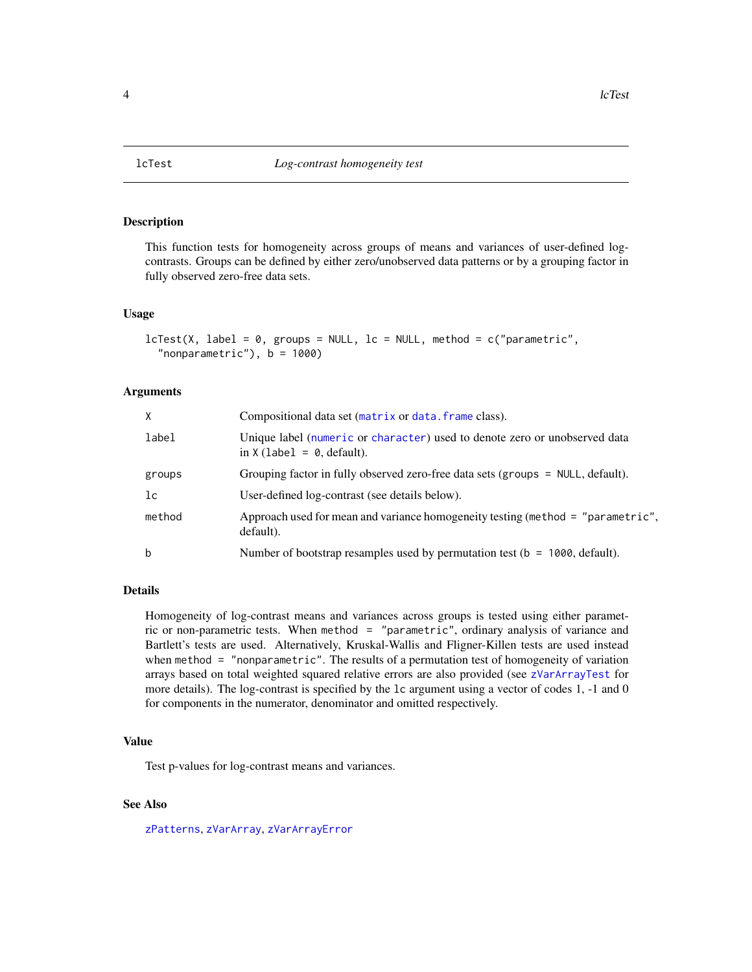<span id="page-3-0"></span>

#### Description

This function tests for homogeneity across groups of means and variances of user-defined logcontrasts. Groups can be defined by either zero/unobserved data patterns or by a grouping factor in fully observed zero-free data sets.

#### Usage

```
lcfest(X, label = 0, groups = NULL, lc = NULL, method = c("parametric","nonparametric"), b = 1000
```
#### Arguments

| $\times$ | Compositional data set (matrix or data. frame class).                                                      |
|----------|------------------------------------------------------------------------------------------------------------|
| label    | Unique label (numeric or character) used to denote zero or unobserved data<br>in $X$ (label = 0, default). |
| groups   | Grouping factor in fully observed zero-free data sets (groups = NULL, default).                            |
| lc       | User-defined log-contrast (see details below).                                                             |
| method   | Approach used for mean and variance homogeneity testing (method = "parametric",<br>default).               |
| b        | Number of bootstrap resamples used by permutation test ( $b = 1000$ , default).                            |

#### Details

Homogeneity of log-contrast means and variances across groups is tested using either parametric or non-parametric tests. When method = "parametric", ordinary analysis of variance and Bartlett's tests are used. Alternatively, Kruskal-Wallis and Fligner-Killen tests are used instead when method = "nonparametric". The results of a permutation test of homogeneity of variation arrays based on total weighted squared relative errors are also provided (see [zVarArrayTest](#page-29-1) for more details). The log-contrast is specified by the 1c argument using a vector of codes 1, -1 and 0 for components in the numerator, denominator and omitted respectively.

#### Value

Test p-values for log-contrast means and variances.

#### See Also

[zPatterns](#page-25-1), [zVarArray](#page-27-1), [zVarArrayError](#page-28-1)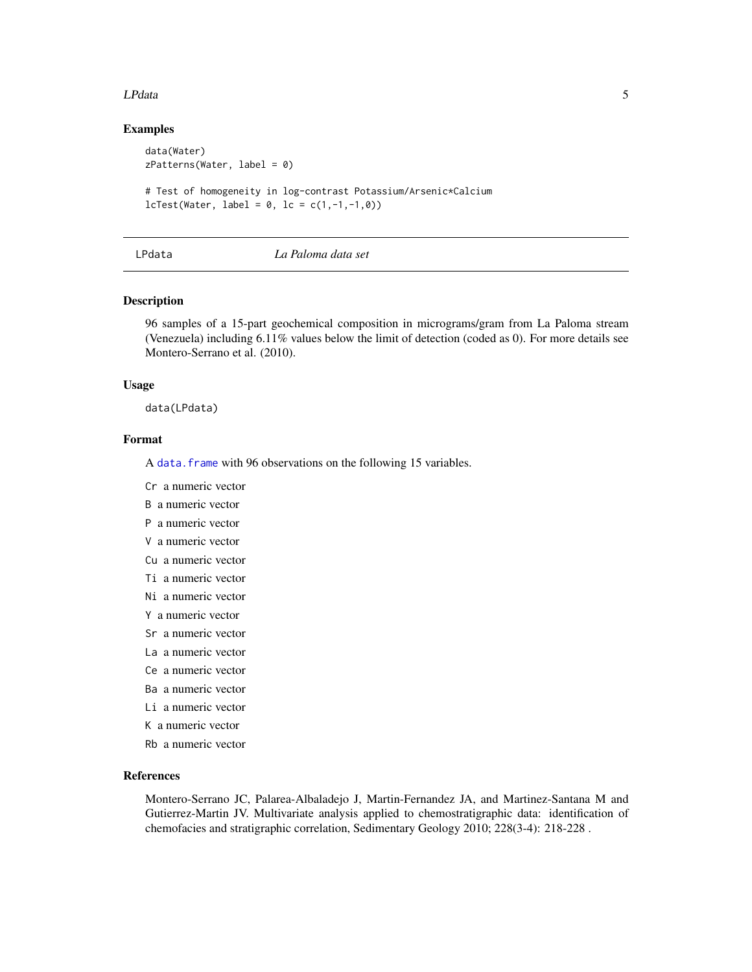#### <span id="page-4-0"></span>LPdata 5

#### Examples

```
data(Water)
zPatterns(Water, label = 0)
# Test of homogeneity in log-contrast Potassium/Arsenic*Calcium
lcfest(Water, label = 0, lc = c(1,-1,-1,0))
```
#### LPdata *La Paloma data set*

#### Description

96 samples of a 15-part geochemical composition in micrograms/gram from La Paloma stream (Venezuela) including 6.11% values below the limit of detection (coded as 0). For more details see Montero-Serrano et al. (2010).

#### Usage

data(LPdata)

#### Format

A [data.frame](#page-0-0) with 96 observations on the following 15 variables.

Cr a numeric vector

B a numeric vector

P a numeric vector

V a numeric vector

Cu a numeric vector

Ti a numeric vector

Ni a numeric vector

- Y a numeric vector
- Sr a numeric vector
- La a numeric vector
- Ce a numeric vector
- Ba a numeric vector
- Li a numeric vector
- K a numeric vector
- Rb a numeric vector

#### References

Montero-Serrano JC, Palarea-Albaladejo J, Martin-Fernandez JA, and Martinez-Santana M and Gutierrez-Martin JV. Multivariate analysis applied to chemostratigraphic data: identification of chemofacies and stratigraphic correlation, Sedimentary Geology 2010; 228(3-4): 218-228 .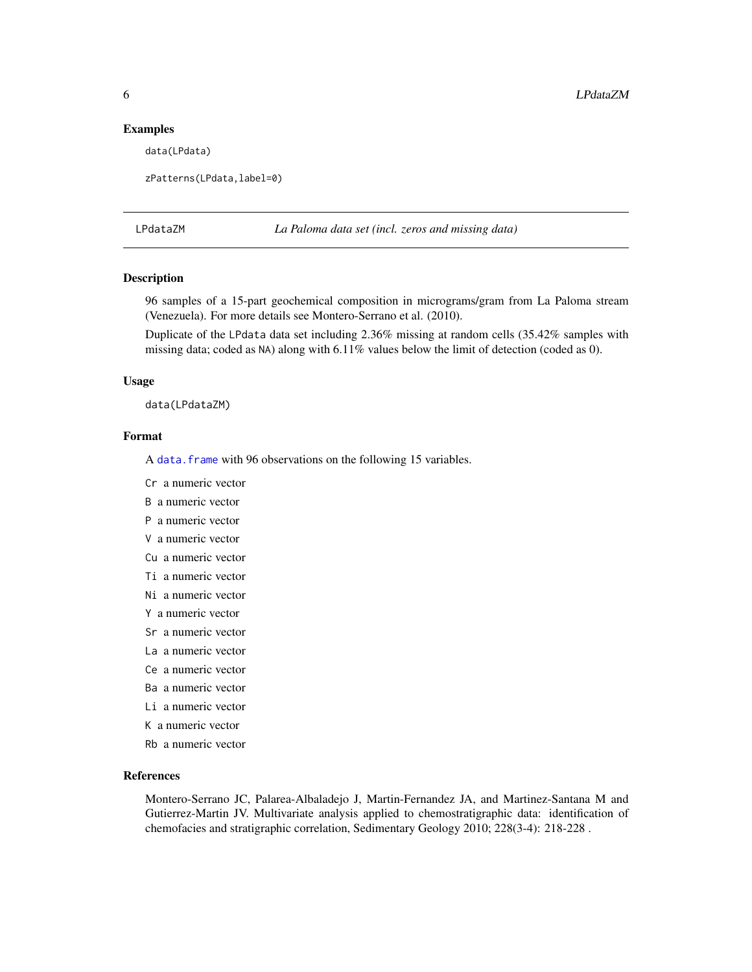#### Examples

data(LPdata)

```
zPatterns(LPdata,label=0)
```
LPdataZM *La Paloma data set (incl. zeros and missing data)*

#### **Description**

96 samples of a 15-part geochemical composition in micrograms/gram from La Paloma stream (Venezuela). For more details see Montero-Serrano et al. (2010).

Duplicate of the LPdata data set including 2.36% missing at random cells (35.42% samples with missing data; coded as NA) along with 6.11% values below the limit of detection (coded as 0).

#### Usage

data(LPdataZM)

#### Format

A [data.frame](#page-0-0) with 96 observations on the following 15 variables.

Cr a numeric vector

B a numeric vector

P a numeric vector

V a numeric vector

Cu a numeric vector

Ti a numeric vector

Ni a numeric vector

Y a numeric vector

Sr a numeric vector

La a numeric vector

Ce a numeric vector

Ba a numeric vector

Li a numeric vector

K a numeric vector

Rb a numeric vector

#### References

Montero-Serrano JC, Palarea-Albaladejo J, Martin-Fernandez JA, and Martinez-Santana M and Gutierrez-Martin JV. Multivariate analysis applied to chemostratigraphic data: identification of chemofacies and stratigraphic correlation, Sedimentary Geology 2010; 228(3-4): 218-228 .

<span id="page-5-0"></span>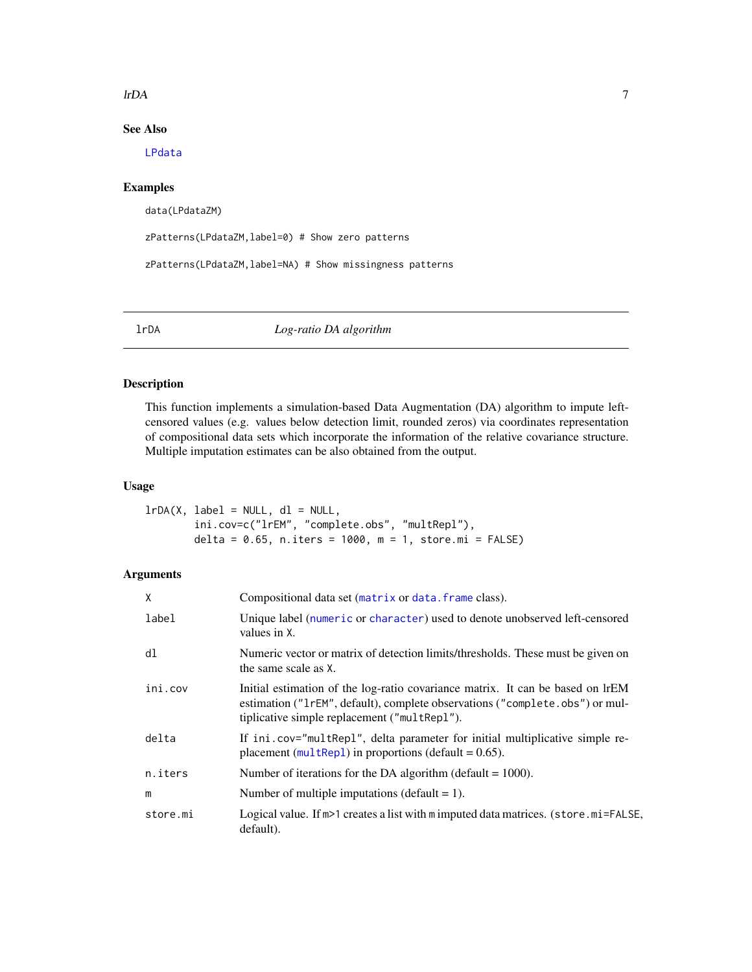#### <span id="page-6-0"></span>lrDA 7

#### See Also

[LPdata](#page-4-1)

#### Examples

data(LPdataZM)

zPatterns(LPdataZM,label=0) # Show zero patterns

zPatterns(LPdataZM,label=NA) # Show missingness patterns

<span id="page-6-1"></span>lrDA *Log-ratio DA algorithm*

#### Description

This function implements a simulation-based Data Augmentation (DA) algorithm to impute leftcensored values (e.g. values below detection limit, rounded zeros) via coordinates representation of compositional data sets which incorporate the information of the relative covariance structure. Multiple imputation estimates can be also obtained from the output.

#### Usage

 $lrDA(X, label = NULL, d1 = NULL,$ ini.cov=c("lrEM", "complete.obs", "multRepl"), delta = 0.65, n.iters = 1000, m = 1, store.mi = FALSE)

#### Arguments

| X        | Compositional data set (matrix or data. frame class).                                                                                                                                                          |
|----------|----------------------------------------------------------------------------------------------------------------------------------------------------------------------------------------------------------------|
| label    | Unique label (numeric or character) used to denote unobserved left-censored<br>values in X.                                                                                                                    |
| dl       | Numeric vector or matrix of detection limits/thresholds. These must be given on<br>the same scale as X.                                                                                                        |
| ini.cov  | Initial estimation of the log-ratio covariance matrix. It can be based on IrEM<br>estimation ("1rEM", default), complete observations ("complete.obs") or mul-<br>tiplicative simple replacement ("multRepl"). |
| delta    | If ini.cov="multRepl", delta parameter for initial multiplicative simple re-<br>placement ( $multRep1$ ) in proportions (default = 0.65).                                                                      |
| n.iters  | Number of iterations for the DA algorithm (default $= 1000$ ).                                                                                                                                                 |
| m        | Number of multiple imputations (default $= 1$ ).                                                                                                                                                               |
| store.mi | Logical value. If $m>1$ creates a list with m imputed data matrices. (store .mi=FALSE,<br>default).                                                                                                            |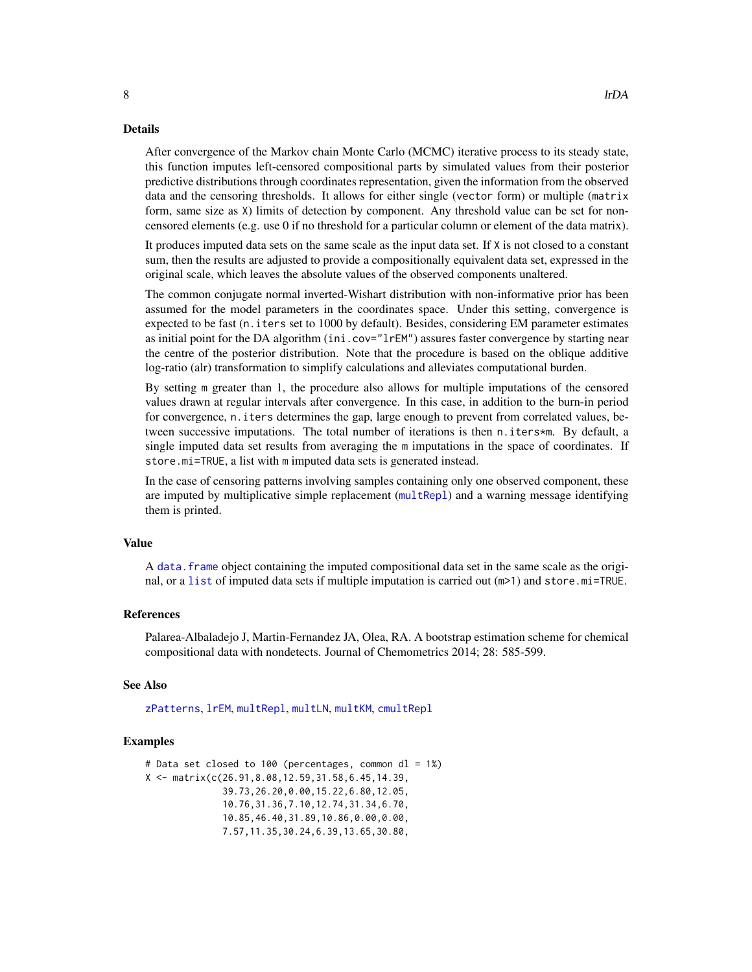#### Details

After convergence of the Markov chain Monte Carlo (MCMC) iterative process to its steady state, this function imputes left-censored compositional parts by simulated values from their posterior predictive distributions through coordinates representation, given the information from the observed data and the censoring thresholds. It allows for either single (vector form) or multiple (matrix form, same size as X) limits of detection by component. Any threshold value can be set for noncensored elements (e.g. use 0 if no threshold for a particular column or element of the data matrix).

It produces imputed data sets on the same scale as the input data set. If X is not closed to a constant sum, then the results are adjusted to provide a compositionally equivalent data set, expressed in the original scale, which leaves the absolute values of the observed components unaltered.

The common conjugate normal inverted-Wishart distribution with non-informative prior has been assumed for the model parameters in the coordinates space. Under this setting, convergence is expected to be fast (n.iters set to 1000 by default). Besides, considering EM parameter estimates as initial point for the DA algorithm (ini.cov="lrEM") assures faster convergence by starting near the centre of the posterior distribution. Note that the procedure is based on the oblique additive log-ratio (alr) transformation to simplify calculations and alleviates computational burden.

By setting m greater than 1, the procedure also allows for multiple imputations of the censored values drawn at regular intervals after convergence. In this case, in addition to the burn-in period for convergence, n.iters determines the gap, large enough to prevent from correlated values, between successive imputations. The total number of iterations is then n.iters\*m. By default, a single imputed data set results from averaging the m imputations in the space of coordinates. If store.mi=TRUE, a list with m imputed data sets is generated instead.

In the case of censoring patterns involving samples containing only one observed component, these are imputed by multiplicative simple replacement ([multRepl](#page-18-1)) and a warning message identifying them is printed.

#### Value

A [data.frame](#page-0-0) object containing the imputed compositional data set in the same scale as the original, or a [list](#page-0-0) of imputed data sets if multiple imputation is carried out  $(m>1)$  and store.mi=TRUE.

#### References

Palarea-Albaladejo J, Martin-Fernandez JA, Olea, RA. A bootstrap estimation scheme for chemical compositional data with nondetects. Journal of Chemometrics 2014; 28: 585-599.

#### See Also

[zPatterns](#page-25-1), [lrEM](#page-8-1), [multRepl](#page-18-1), [multLN](#page-16-1), [multKM](#page-14-1), [cmultRepl](#page-1-1)

#### Examples

```
# Data set closed to 100 (percentages, common dl = 1%)
X <- matrix(c(26.91,8.08,12.59,31.58,6.45,14.39,
              39.73,26.20,0.00,15.22,6.80,12.05,
              10.76,31.36,7.10,12.74,31.34,6.70,
              10.85,46.40,31.89,10.86,0.00,0.00,
              7.57,11.35,30.24,6.39,13.65,30.80,
```
<span id="page-7-0"></span>8 lrDA and the state of the state of the state of the state of the state of the state of the state of the state of the state of the state of the state of the state of the state of the state of the state of the state of the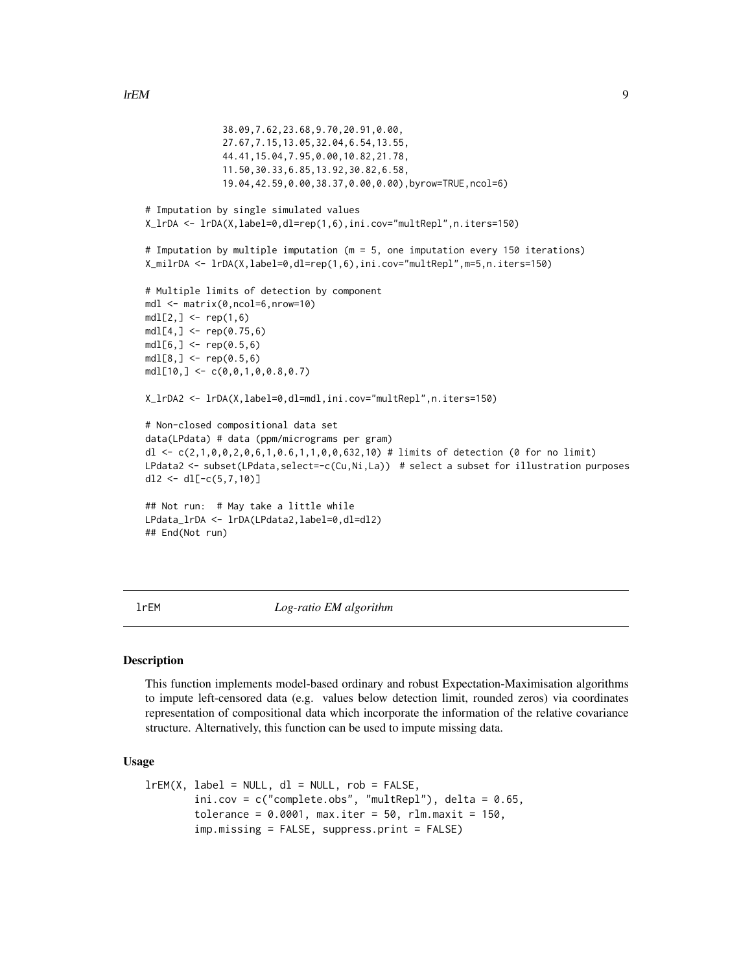```
38.09,7.62,23.68,9.70,20.91,0.00,
              27.67,7.15,13.05,32.04,6.54,13.55,
              44.41,15.04,7.95,0.00,10.82,21.78,
              11.50,30.33,6.85,13.92,30.82,6.58,
              19.04,42.59,0.00,38.37,0.00,0.00),byrow=TRUE,ncol=6)
# Imputation by single simulated values
X_lrDA <- lrDA(X,label=0,dl=rep(1,6),ini.cov="multRepl",n.iters=150)
# Imputation by multiple imputation (m = 5, one imputation every 150 iterations)
X_milrDA <- lrDA(X,label=0,dl=rep(1,6),ini.cov="multRepl",m=5,n.iters=150)
# Multiple limits of detection by component
mdl <- matrix(0,ncol=6,nrow=10)
mdl[2,] < - rep(1,6)mdl[4, ] \leq rep(0.75, 6)mdl[6, ] <- rep(0.5, 6)mdl[8, ] \leq rep(0.5, 6)mdl[10, ] \leftarrow c(0, 0, 1, 0, 0.8, 0.7)X_lrDA2 <- lrDA(X,label=0,dl=mdl,ini.cov="multRepl",n.iters=150)
# Non-closed compositional data set
data(LPdata) # data (ppm/micrograms per gram)
dl <- c(2,1,0,0,2,0,6,1,0.6,1,1,0,0,632,10) # limits of detection (0 for no limit)
LPdata2 <- subset(LPdata, select=-c(Cu,Ni,La)) # select a subset for illustration purposes
dl2 <- dl[-c(5,7,10)]
## Not run: # May take a little while
LPdata_lrDA <- lrDA(LPdata2,label=0,dl=dl2)
## End(Not run)
```
<span id="page-8-1"></span>lrEM *Log-ratio EM algorithm*

#### Description

This function implements model-based ordinary and robust Expectation-Maximisation algorithms to impute left-censored data (e.g. values below detection limit, rounded zeros) via coordinates representation of compositional data which incorporate the information of the relative covariance structure. Alternatively, this function can be used to impute missing data.

#### Usage

```
lrEM(X, label = NULL, dl = NULL, rob = FALSE,
        ini.cov = c("complete.obs", "multRepl"), delta = 0.65,tolerance = 0.0001, max.iter = 50, rlm.maxit = 150,
        imp.missing = FALSE, suppress.print = FALSE)
```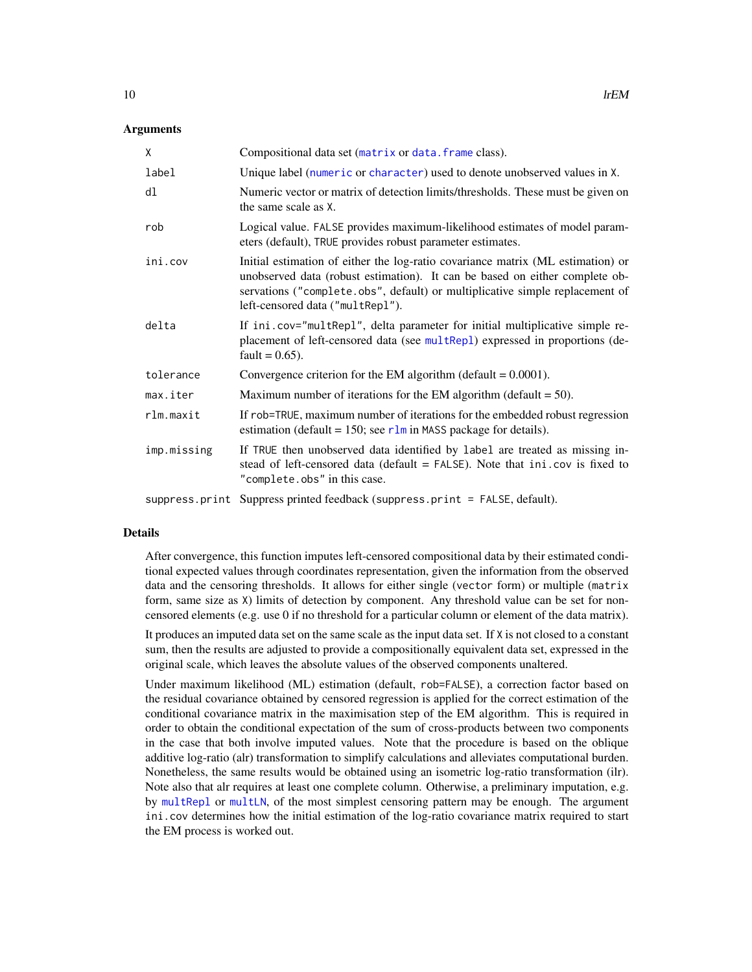#### <span id="page-9-0"></span>**Arguments**

| X           | Compositional data set (matrix or data. frame class).                                                                                                                                                                                                                              |
|-------------|------------------------------------------------------------------------------------------------------------------------------------------------------------------------------------------------------------------------------------------------------------------------------------|
| label       | Unique label (numeric or character) used to denote unobserved values in X.                                                                                                                                                                                                         |
| dl          | Numeric vector or matrix of detection limits/thresholds. These must be given on<br>the same scale as X.                                                                                                                                                                            |
| rob         | Logical value. FALSE provides maximum-likelihood estimates of model param-<br>eters (default), TRUE provides robust parameter estimates.                                                                                                                                           |
| ini.cov     | Initial estimation of either the log-ratio covariance matrix (ML estimation) or<br>unobserved data (robust estimation). It can be based on either complete ob-<br>servations ("complete.obs", default) or multiplicative simple replacement of<br>left-censored data ("multRepl"). |
| delta       | If ini.cov="multRepl", delta parameter for initial multiplicative simple re-<br>placement of left-censored data (see multRepl) expressed in proportions (de-<br>fault = $0.65$ ).                                                                                                  |
| tolerance   | Convergence criterion for the EM algorithm (default $= 0.0001$ ).                                                                                                                                                                                                                  |
| max.iter    | Maximum number of iterations for the EM algorithm (default $= 50$ ).                                                                                                                                                                                                               |
| rlm.maxit   | If rob=TRUE, maximum number of iterations for the embedded robust regression<br>estimation (default = 150; see $r \ln m$ in MASS package for details).                                                                                                                             |
| imp.missing | If TRUE then unobserved data identified by label are treated as missing in-<br>stead of left-censored data (default = $FALSE$ ). Note that ini.cov is fixed to<br>"complete.obs" in this case.                                                                                     |
|             | $\sim$ $\sim$ $\sim$ $\sim$ $\sim$ $\sim$                                                                                                                                                                                                                                          |

suppress.print Suppress printed feedback (suppress.print = FALSE, default).

#### Details

After convergence, this function imputes left-censored compositional data by their estimated conditional expected values through coordinates representation, given the information from the observed data and the censoring thresholds. It allows for either single (vector form) or multiple (matrix form, same size as X) limits of detection by component. Any threshold value can be set for noncensored elements (e.g. use 0 if no threshold for a particular column or element of the data matrix).

It produces an imputed data set on the same scale as the input data set. If X is not closed to a constant sum, then the results are adjusted to provide a compositionally equivalent data set, expressed in the original scale, which leaves the absolute values of the observed components unaltered.

Under maximum likelihood (ML) estimation (default, rob=FALSE), a correction factor based on the residual covariance obtained by censored regression is applied for the correct estimation of the conditional covariance matrix in the maximisation step of the EM algorithm. This is required in order to obtain the conditional expectation of the sum of cross-products between two components in the case that both involve imputed values. Note that the procedure is based on the oblique additive log-ratio (alr) transformation to simplify calculations and alleviates computational burden. Nonetheless, the same results would be obtained using an isometric log-ratio transformation (ilr). Note also that alr requires at least one complete column. Otherwise, a preliminary imputation, e.g. by [multRepl](#page-18-1) or [multLN](#page-16-1), of the most simplest censoring pattern may be enough. The argument ini.cov determines how the initial estimation of the log-ratio covariance matrix required to start the EM process is worked out.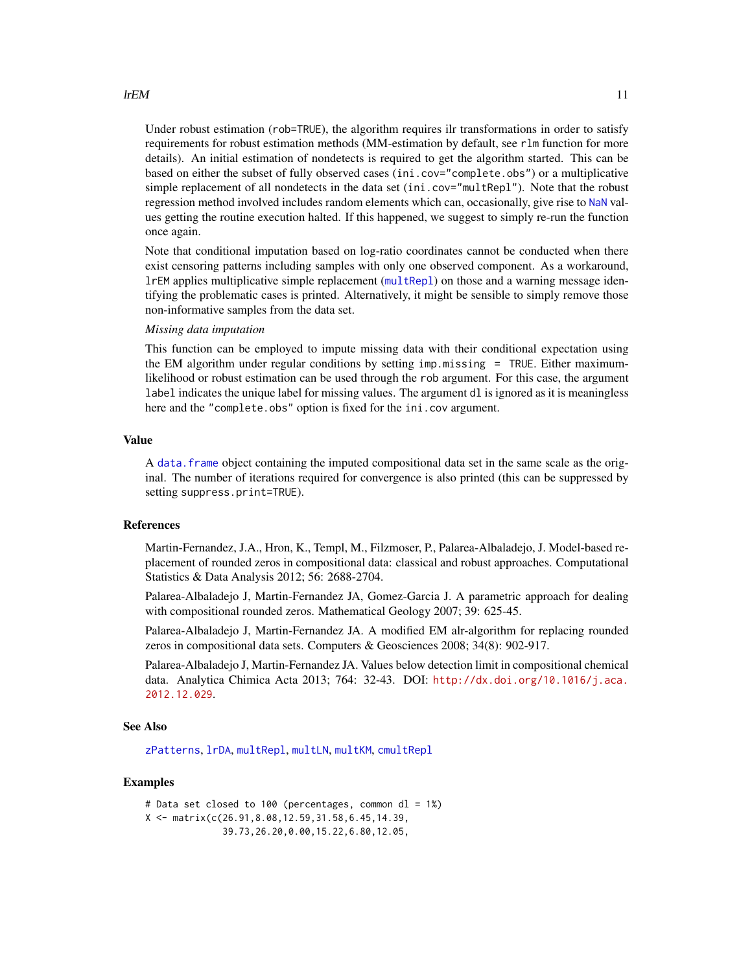#### <span id="page-10-0"></span> $l$ r $EM$  and the set of the set of the set of the set of the set of the set of the set of the set of the set of the set of the set of the set of the set of the set of the set of the set of the set of the set of the set of

Under robust estimation (rob=TRUE), the algorithm requires ilr transformations in order to satisfy requirements for robust estimation methods (MM-estimation by default, see rlm function for more details). An initial estimation of nondetects is required to get the algorithm started. This can be based on either the subset of fully observed cases (ini.cov="complete.obs") or a multiplicative simple replacement of all nondetects in the data set (ini.cov="multRepl"). Note that the robust regression method involved includes random elements which can, occasionally, give rise to [NaN](#page-0-0) values getting the routine execution halted. If this happened, we suggest to simply re-run the function once again.

Note that conditional imputation based on log-ratio coordinates cannot be conducted when there exist censoring patterns including samples with only one observed component. As a workaround, lrEM applies multiplicative simple replacement ([multRepl](#page-18-1)) on those and a warning message identifying the problematic cases is printed. Alternatively, it might be sensible to simply remove those non-informative samples from the data set.

#### *Missing data imputation*

This function can be employed to impute missing data with their conditional expectation using the EM algorithm under regular conditions by setting imp.missing = TRUE. Either maximumlikelihood or robust estimation can be used through the rob argument. For this case, the argument label indicates the unique label for missing values. The argument dl is ignored as it is meaningless here and the "complete.obs" option is fixed for the ini.cov argument.

#### Value

A [data.frame](#page-0-0) object containing the imputed compositional data set in the same scale as the original. The number of iterations required for convergence is also printed (this can be suppressed by setting suppress.print=TRUE).

#### References

Martin-Fernandez, J.A., Hron, K., Templ, M., Filzmoser, P., Palarea-Albaladejo, J. Model-based replacement of rounded zeros in compositional data: classical and robust approaches. Computational Statistics & Data Analysis 2012; 56: 2688-2704.

Palarea-Albaladejo J, Martin-Fernandez JA, Gomez-Garcia J. A parametric approach for dealing with compositional rounded zeros. Mathematical Geology 2007; 39: 625-45.

Palarea-Albaladejo J, Martin-Fernandez JA. A modified EM alr-algorithm for replacing rounded zeros in compositional data sets. Computers & Geosciences 2008; 34(8): 902-917.

Palarea-Albaladejo J, Martin-Fernandez JA. Values below detection limit in compositional chemical data. Analytica Chimica Acta 2013; 764: 32-43. DOI: [http://dx.doi.org/10.1016/j.aca.](http://dx.doi.org/10.1016/j.aca.2012.12.029) [2012.12.029](http://dx.doi.org/10.1016/j.aca.2012.12.029).

#### See Also

[zPatterns](#page-25-1), [lrDA](#page-6-1), [multRepl](#page-18-1), [multLN](#page-16-1), [multKM](#page-14-1), [cmultRepl](#page-1-1)

#### Examples

# Data set closed to 100 (percentages, common dl = 1%) X <- matrix(c(26.91,8.08,12.59,31.58,6.45,14.39, 39.73,26.20,0.00,15.22,6.80,12.05,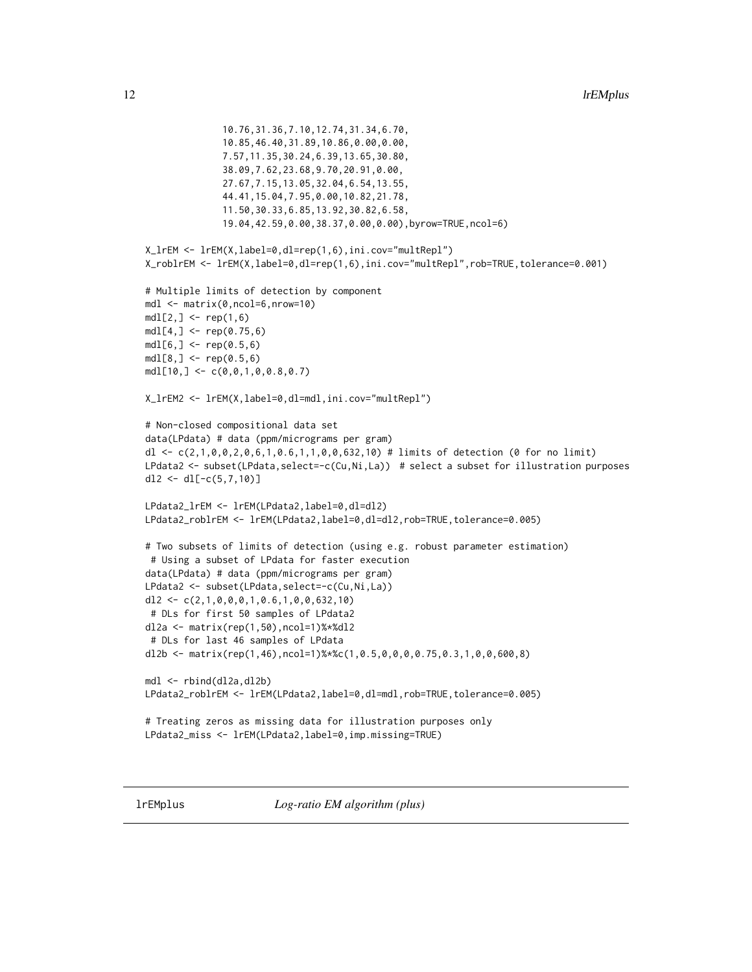```
10.76,31.36,7.10,12.74,31.34,6.70,
              10.85,46.40,31.89,10.86,0.00,0.00,
              7.57,11.35,30.24,6.39,13.65,30.80,
              38.09,7.62,23.68,9.70,20.91,0.00,
              27.67,7.15,13.05,32.04,6.54,13.55,
              44.41,15.04,7.95,0.00,10.82,21.78,
              11.50,30.33,6.85,13.92,30.82,6.58,
              19.04,42.59,0.00,38.37,0.00,0.00),byrow=TRUE,ncol=6)
X_lrEM <- lrEM(X,label=0,dl=rep(1,6),ini.cov="multRepl")
X_roblrEM <- lrEM(X,label=0,dl=rep(1,6),ini.cov="multRepl",rob=TRUE,tolerance=0.001)
# Multiple limits of detection by component
mdl <- matrix(0,ncol=6,nrow=10)
mdl[2,] < - rep(1,6)mdl[4,] < - rep(0.75, 6)mdl[6, ] <- rep(0.5, 6)mdl[8, ] \leq rep(0.5, 6)mdl[10, ] \leftarrow c(0, 0, 1, 0, 0.8, 0.7)X_lrEM2 <- lrEM(X,label=0,dl=mdl,ini.cov="multRepl")
# Non-closed compositional data set
data(LPdata) # data (ppm/micrograms per gram)
dl <- c(2,1,0,0,2,0,6,1,0.6,1,1,0,0,632,10) # limits of detection (0 for no limit)
LPdata2 <- subset(LPdata, select=-c(Cu,Ni,La)) # select a subset for illustration purposes
dl2 <- dl[-c(5,7,10)]
LPdata2_lrEM <- lrEM(LPdata2,label=0,dl=dl2)
LPdata2_roblrEM <- lrEM(LPdata2,label=0,dl=dl2,rob=TRUE,tolerance=0.005)
# Two subsets of limits of detection (using e.g. robust parameter estimation)
 # Using a subset of LPdata for faster execution
data(LPdata) # data (ppm/micrograms per gram)
LPdata2 <- subset(LPdata,select=-c(Cu,Ni,La))
dl2 \leftarrow c(2,1,0,0,0,1,0.6,1,0,0,632,10)# DLs for first 50 samples of LPdata2
dl2a <- matrix(rep(1,50),ncol=1)%*%dl2
 # DLs for last 46 samples of LPdata
dl2b <- matrix(rep(1,46),ncol=1)%*%c(1,0.5,0,0,0,0.75,0.3,1,0,0,600,8)
mdl <- rbind(dl2a,dl2b)
LPdata2_roblrEM <- lrEM(LPdata2,label=0,dl=mdl,rob=TRUE,tolerance=0.005)
# Treating zeros as missing data for illustration purposes only
LPdata2_miss <- lrEM(LPdata2,label=0,imp.missing=TRUE)
```
<span id="page-11-1"></span>lrEMplus *Log-ratio EM algorithm (plus)*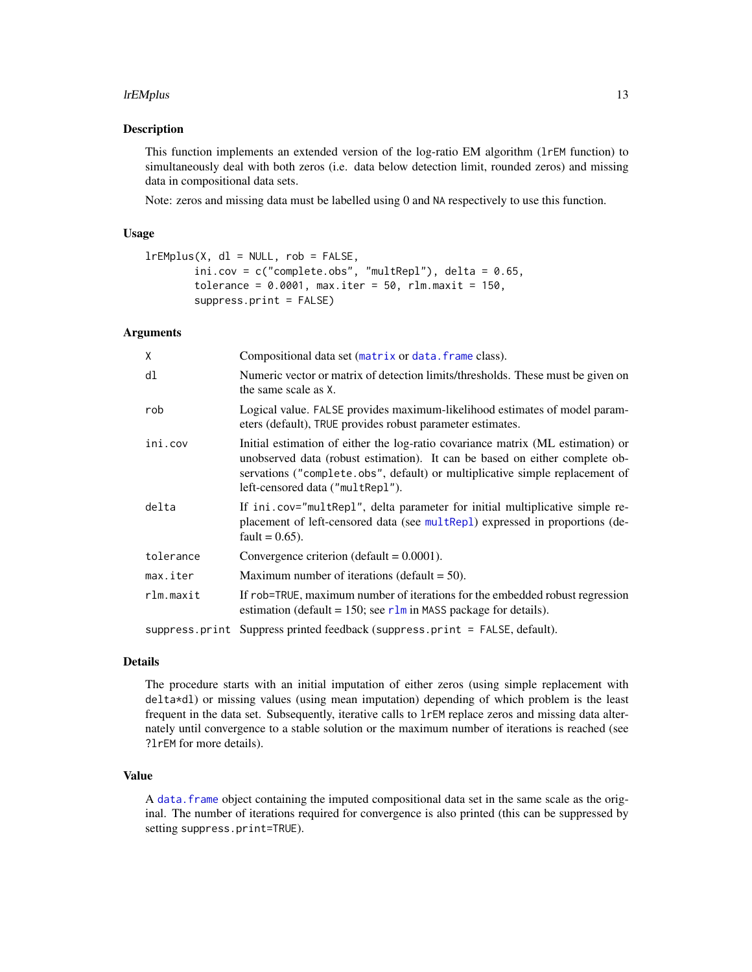#### <span id="page-12-0"></span>lrEMplus 13

#### Description

This function implements an extended version of the log-ratio EM algorithm (lrEM function) to simultaneously deal with both zeros (i.e. data below detection limit, rounded zeros) and missing data in compositional data sets.

Note: zeros and missing data must be labelled using 0 and NA respectively to use this function.

#### Usage

```
lrEMplus(X, dl = NULL, rob = FALSE,
        ini.cov = c("complete.obs", "multRepl"), delta = 0.65,tolerance = 0.0001, max.iter = 50, rlm.maxit = 150,
       suppress.print = FALSE)
```
#### Arguments

| X         | Compositional data set (matrix or data. frame class).                                                                                                                                                                                                                              |
|-----------|------------------------------------------------------------------------------------------------------------------------------------------------------------------------------------------------------------------------------------------------------------------------------------|
| d1        | Numeric vector or matrix of detection limits/thresholds. These must be given on<br>the same scale as X.                                                                                                                                                                            |
| rob       | Logical value. FALSE provides maximum-likelihood estimates of model param-<br>eters (default), TRUE provides robust parameter estimates.                                                                                                                                           |
| ini.cov   | Initial estimation of either the log-ratio covariance matrix (ML estimation) or<br>unobserved data (robust estimation). It can be based on either complete ob-<br>servations ("complete.obs", default) or multiplicative simple replacement of<br>left-censored data ("multRepl"). |
| delta     | If ini.cov="multRepl", delta parameter for initial multiplicative simple re-<br>placement of left-censored data (see multRep1) expressed in proportions (de-<br>fault = $0.65$ ).                                                                                                  |
| tolerance | Convergence criterion (default $= 0.0001$ ).                                                                                                                                                                                                                                       |
| max.iter  | Maximum number of iterations (default $= 50$ ).                                                                                                                                                                                                                                    |
| rlm.maxit | If rob=TRUE, maximum number of iterations for the embedded robust regression<br>estimation (default = 150; see $r \ln m$ in MASS package for details).                                                                                                                             |
|           | suppress.print Suppress printed feedback (suppress.print = FALSE, default).                                                                                                                                                                                                        |

#### Details

The procedure starts with an initial imputation of either zeros (using simple replacement with delta\*dl) or missing values (using mean imputation) depending of which problem is the least frequent in the data set. Subsequently, iterative calls to lrEM replace zeros and missing data alternately until convergence to a stable solution or the maximum number of iterations is reached (see ?lrEM for more details).

#### Value

A [data.frame](#page-0-0) object containing the imputed compositional data set in the same scale as the original. The number of iterations required for convergence is also printed (this can be suppressed by setting suppress.print=TRUE).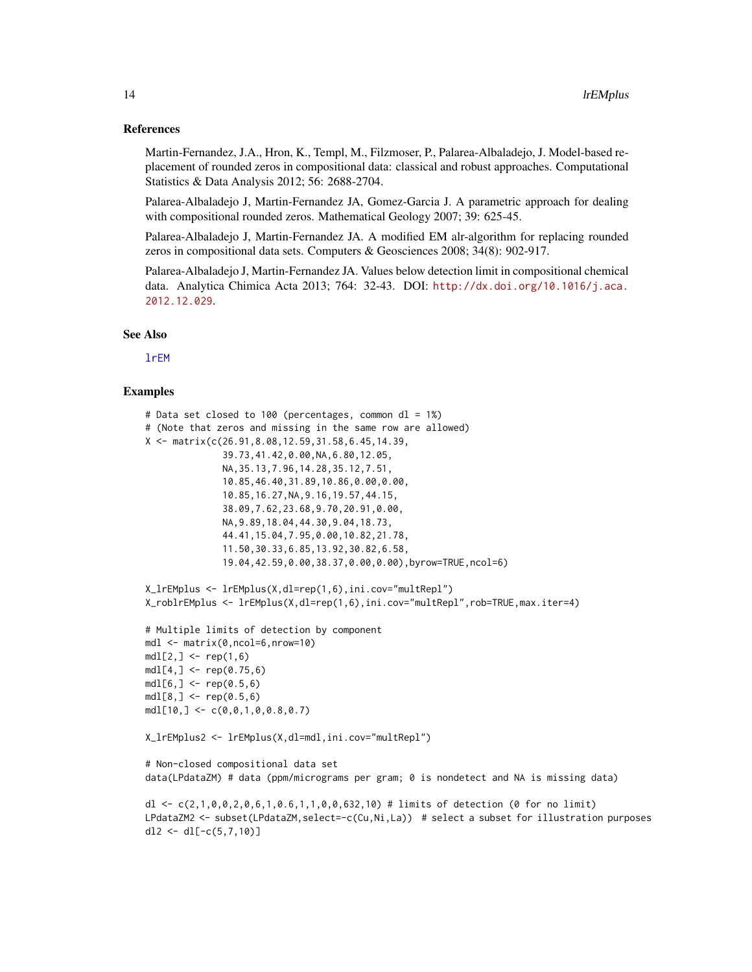#### References

Martin-Fernandez, J.A., Hron, K., Templ, M., Filzmoser, P., Palarea-Albaladejo, J. Model-based replacement of rounded zeros in compositional data: classical and robust approaches. Computational Statistics & Data Analysis 2012; 56: 2688-2704.

Palarea-Albaladejo J, Martin-Fernandez JA, Gomez-Garcia J. A parametric approach for dealing with compositional rounded zeros. Mathematical Geology 2007; 39: 625-45.

Palarea-Albaladejo J, Martin-Fernandez JA. A modified EM alr-algorithm for replacing rounded zeros in compositional data sets. Computers & Geosciences 2008; 34(8): 902-917.

Palarea-Albaladejo J, Martin-Fernandez JA. Values below detection limit in compositional chemical data. Analytica Chimica Acta 2013; 764: 32-43. DOI: [http://dx.doi.org/10.1016/j.aca.](http://dx.doi.org/10.1016/j.aca.2012.12.029) [2012.12.029](http://dx.doi.org/10.1016/j.aca.2012.12.029).

#### See Also

[lrEM](#page-8-1)

#### Examples

# Data set closed to 100 (percentages, common dl = 1%) # (Note that zeros and missing in the same row are allowed)  $X \leq -$  matrix(c(26.91,8.08,12.59,31.58,6.45,14.39, 39.73,41.42,0.00,NA,6.80,12.05, NA,35.13,7.96,14.28,35.12,7.51, 10.85,46.40,31.89,10.86,0.00,0.00, 10.85,16.27,NA,9.16,19.57,44.15, 38.09,7.62,23.68,9.70,20.91,0.00, NA,9.89,18.04,44.30,9.04,18.73, 44.41,15.04,7.95,0.00,10.82,21.78, 11.50,30.33,6.85,13.92,30.82,6.58, 19.04,42.59,0.00,38.37,0.00,0.00),byrow=TRUE,ncol=6)

```
X_lrEMplus <- lrEMplus(X,dl=rep(1,6),ini.cov="multRepl")
X_roblrEMplus <- lrEMplus(X,dl=rep(1,6),ini.cov="multRepl",rob=TRUE,max.iter=4)
```

```
# Multiple limits of detection by component
mdl <- matrix(0,ncol=6,nrow=10)
mdl[2,] < - rep(1,6)mdl[4,] < - rep(0.75, 6)mdl[6, ] \leq - rep(0.5, 6)mdl[8, ] \leq rep(0.5, 6)mdl[10, ] \leftarrow c(0, 0, 1, 0, 0.8, 0.7)
```
X\_lrEMplus2 <- lrEMplus(X,dl=mdl,ini.cov="multRepl")

# Non-closed compositional data set data(LPdataZM) # data (ppm/micrograms per gram; 0 is nondetect and NA is missing data)

dl <- c(2,1,0,0,2,0,6,1,0.6,1,1,0,0,632,10) # limits of detection (0 for no limit) LPdataZM2 <- subset(LPdataZM, select=-c(Cu, Ni, La)) # select a subset for illustration purposes dl2 <- dl[-c(5,7,10)]

<span id="page-13-0"></span>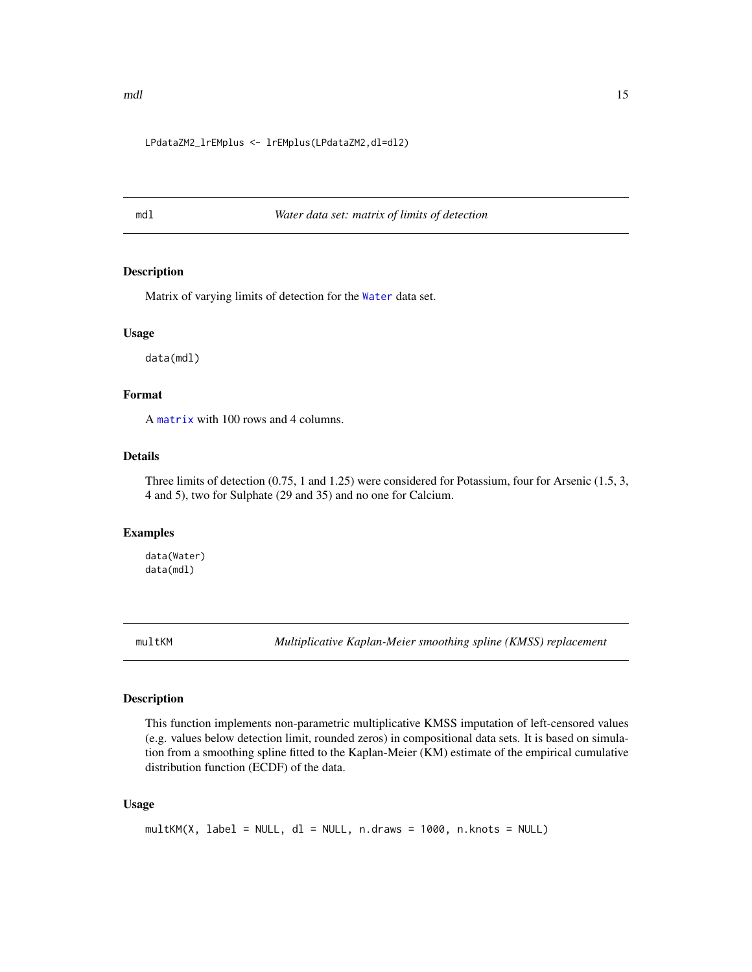#### <span id="page-14-0"></span>LPdataZM2\_lrEMplus <- lrEMplus(LPdataZM2,dl=dl2)

mdl *Water data set: matrix of limits of detection*

#### Description

Matrix of varying limits of detection for the [Water](#page-22-1) data set.

#### Usage

data(mdl)

#### Format

A [matrix](#page-0-0) with 100 rows and 4 columns.

#### Details

Three limits of detection (0.75, 1 and 1.25) were considered for Potassium, four for Arsenic (1.5, 3, 4 and 5), two for Sulphate (29 and 35) and no one for Calcium.

#### Examples

data(Water) data(mdl)

<span id="page-14-1"></span>multKM *Multiplicative Kaplan-Meier smoothing spline (KMSS) replacement*

#### Description

This function implements non-parametric multiplicative KMSS imputation of left-censored values (e.g. values below detection limit, rounded zeros) in compositional data sets. It is based on simulation from a smoothing spline fitted to the Kaplan-Meier (KM) estimate of the empirical cumulative distribution function (ECDF) of the data.

#### Usage

```
multKM(X, label = NULL, dl = NULL, n.draws = 1000, n.knots = NULL)
```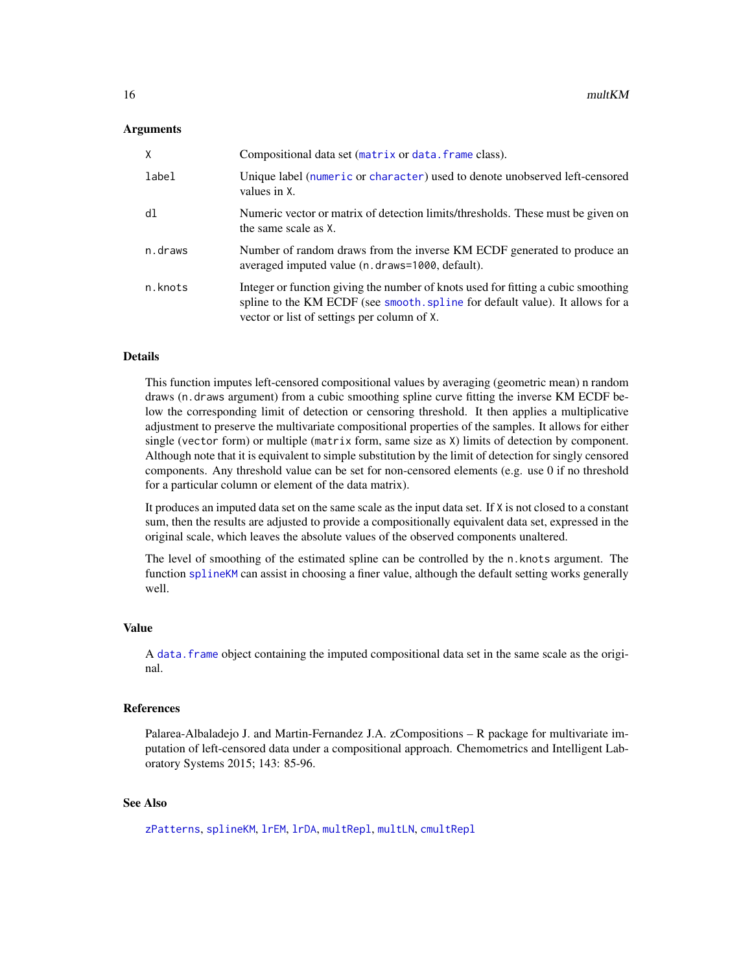#### <span id="page-15-0"></span>Arguments

| X       | Compositional data set (matrix or data. frame class).                                                                                                                                                             |
|---------|-------------------------------------------------------------------------------------------------------------------------------------------------------------------------------------------------------------------|
| label   | Unique label (numeric or character) used to denote unobserved left-censored<br>values in X.                                                                                                                       |
| d1      | Numeric vector or matrix of detection limits/thresholds. These must be given on<br>the same scale as X.                                                                                                           |
| n.draws | Number of random draws from the inverse KM ECDF generated to produce an<br>averaged imputed value (n.draws=1000, default).                                                                                        |
| n.knots | Integer or function giving the number of knots used for fitting a cubic smoothing<br>spline to the KM ECDF (see smooth. spline for default value). It allows for a<br>vector or list of settings per column of X. |

#### Details

This function imputes left-censored compositional values by averaging (geometric mean) n random draws (n.draws argument) from a cubic smoothing spline curve fitting the inverse KM ECDF below the corresponding limit of detection or censoring threshold. It then applies a multiplicative adjustment to preserve the multivariate compositional properties of the samples. It allows for either single (vector form) or multiple (matrix form, same size as X) limits of detection by component. Although note that it is equivalent to simple substitution by the limit of detection for singly censored components. Any threshold value can be set for non-censored elements (e.g. use 0 if no threshold for a particular column or element of the data matrix).

It produces an imputed data set on the same scale as the input data set. If X is not closed to a constant sum, then the results are adjusted to provide a compositionally equivalent data set, expressed in the original scale, which leaves the absolute values of the observed components unaltered.

The level of smoothing of the estimated spline can be controlled by the n.knots argument. The function [splineKM](#page-21-1) can assist in choosing a finer value, although the default setting works generally well.

#### Value

A [data.frame](#page-0-0) object containing the imputed compositional data set in the same scale as the original.

#### References

Palarea-Albaladejo J. and Martin-Fernandez J.A. zCompositions – R package for multivariate imputation of left-censored data under a compositional approach. Chemometrics and Intelligent Laboratory Systems 2015; 143: 85-96.

#### See Also

[zPatterns](#page-25-1), [splineKM](#page-21-1), [lrEM](#page-8-1), [lrDA](#page-6-1), [multRepl](#page-18-1), [multLN](#page-16-1), [cmultRepl](#page-1-1)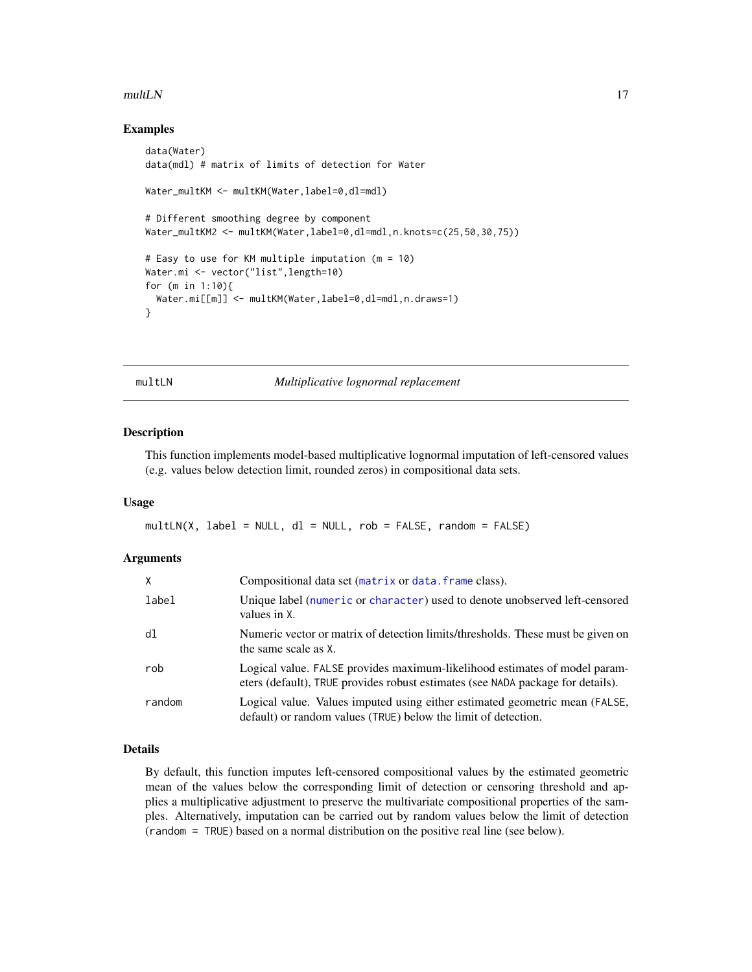#### <span id="page-16-0"></span> $multLN$  and the set of the set of the set of the set of the set of the set of the set of the set of the set of the set of the set of the set of the set of the set of the set of the set of the set of the set of the set of the

#### Examples

```
data(Water)
data(mdl) # matrix of limits of detection for Water
Water_multKM <- multKM(Water, label=0, dl=mdl)
# Different smoothing degree by component
Water_multKM2 <- multKM(Water,label=0,dl=mdl,n.knots=c(25,50,30,75))
# Easy to use for KM multiple imputation (m = 10)
Water.mi <- vector("list",length=10)
for (m in 1:10){
  Water.mi[[m]] <- multKM(Water,label=0,dl=mdl,n.draws=1)
}
```
<span id="page-16-1"></span>

multLN *Multiplicative lognormal replacement*

#### Description

This function implements model-based multiplicative lognormal imputation of left-censored values (e.g. values below detection limit, rounded zeros) in compositional data sets.

#### Usage

 $multLN(X, label = NULL, dl = NULL, rob = FALSE, random = FALSE)$ 

#### Arguments

| X      | Compositional data set (matrix or data. frame class).                                                                                                         |
|--------|---------------------------------------------------------------------------------------------------------------------------------------------------------------|
| label  | Unique label (numeric or character) used to denote unobserved left-censored<br>values in X.                                                                   |
| d1     | Numeric vector or matrix of detection limits/thresholds. These must be given on<br>the same scale as X.                                                       |
| rob    | Logical value. FALSE provides maximum-likelihood estimates of model param-<br>eters (default), TRUE provides robust estimates (see NADA package for details). |
| random | Logical value. Values imputed using either estimated geometric mean (FALSE,<br>default) or random values (TRUE) below the limit of detection.                 |

#### Details

By default, this function imputes left-censored compositional values by the estimated geometric mean of the values below the corresponding limit of detection or censoring threshold and applies a multiplicative adjustment to preserve the multivariate compositional properties of the samples. Alternatively, imputation can be carried out by random values below the limit of detection (random = TRUE) based on a normal distribution on the positive real line (see below).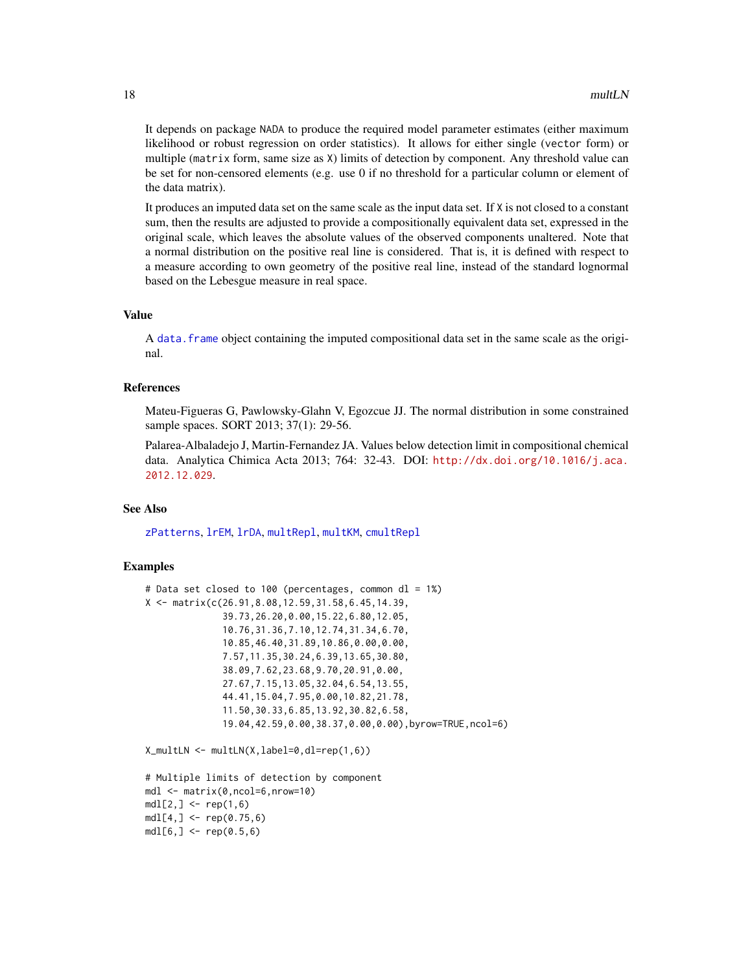<span id="page-17-0"></span>It depends on package NADA to produce the required model parameter estimates (either maximum likelihood or robust regression on order statistics). It allows for either single (vector form) or multiple (matrix form, same size as X) limits of detection by component. Any threshold value can be set for non-censored elements (e.g. use 0 if no threshold for a particular column or element of the data matrix).

It produces an imputed data set on the same scale as the input data set. If X is not closed to a constant sum, then the results are adjusted to provide a compositionally equivalent data set, expressed in the original scale, which leaves the absolute values of the observed components unaltered. Note that a normal distribution on the positive real line is considered. That is, it is defined with respect to a measure according to own geometry of the positive real line, instead of the standard lognormal based on the Lebesgue measure in real space.

#### Value

A [data.frame](#page-0-0) object containing the imputed compositional data set in the same scale as the original.

#### References

Mateu-Figueras G, Pawlowsky-Glahn V, Egozcue JJ. The normal distribution in some constrained sample spaces. SORT 2013; 37(1): 29-56.

Palarea-Albaladejo J, Martin-Fernandez JA. Values below detection limit in compositional chemical data. Analytica Chimica Acta 2013; 764: 32-43. DOI: [http://dx.doi.org/10.1016/j.aca.](http://dx.doi.org/10.1016/j.aca.2012.12.029) [2012.12.029](http://dx.doi.org/10.1016/j.aca.2012.12.029).

#### See Also

[zPatterns](#page-25-1), [lrEM](#page-8-1), [lrDA](#page-6-1), [multRepl](#page-18-1), [multKM](#page-14-1), [cmultRepl](#page-1-1)

#### Examples

```
# Data set closed to 100 (percentages, common dl = 1%)
X <- matrix(c(26.91,8.08,12.59,31.58,6.45,14.39,
              39.73,26.20,0.00,15.22,6.80,12.05,
              10.76,31.36,7.10,12.74,31.34,6.70,
              10.85,46.40,31.89,10.86,0.00,0.00,
              7.57,11.35,30.24,6.39,13.65,30.80,
              38.09,7.62,23.68,9.70,20.91,0.00,
              27.67,7.15,13.05,32.04,6.54,13.55,
              44.41,15.04,7.95,0.00,10.82,21.78,
              11.50,30.33,6.85,13.92,30.82,6.58,
              19.04,42.59,0.00,38.37,0.00,0.00),byrow=TRUE,ncol=6)
```
X\_multLN <- multLN(X,label=0,dl=rep(1,6))

```
# Multiple limits of detection by component
mdl <- matrix(0,ncol=6,nrow=10)
mdl[2,] < - rep(1,6)mdl[4, ] \leq rep(0.75, 6)mdl[6, ] \leq rep(0.5, 6)
```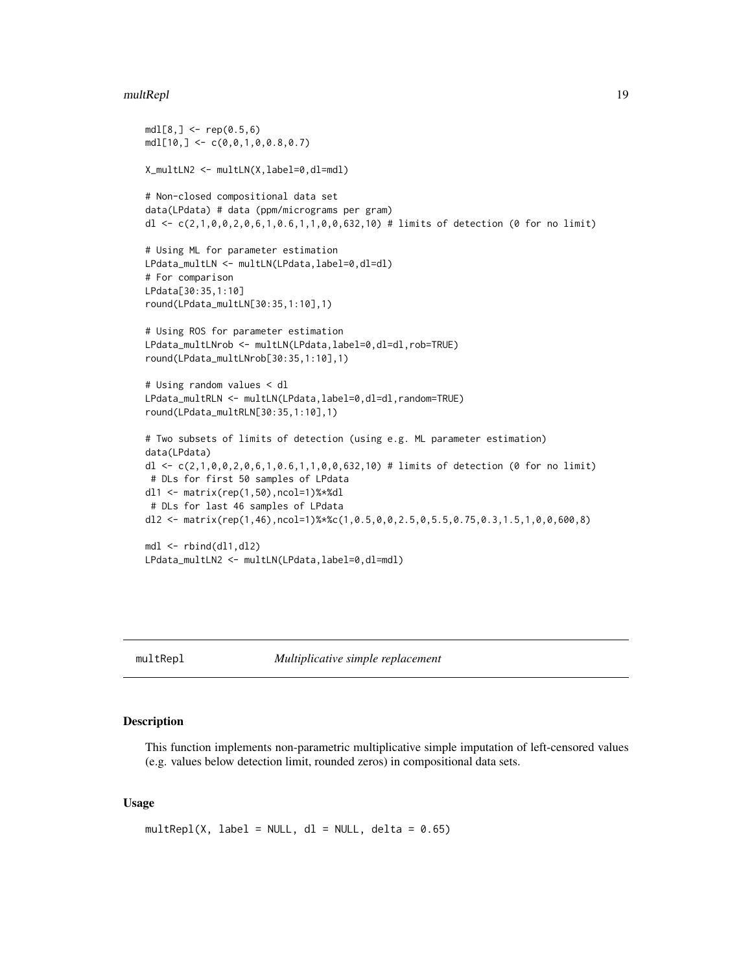#### <span id="page-18-0"></span>multRepl 2003 and 2009 and 2009 and 2009 and 2009 and 2009 and 2009 and 2009 and 2009 and 2009 and 2009 and 20

```
mdl[8, ] \leq - rep(0.5, 6)mdl[10, ] \leftarrow c(0, 0, 1, 0, 0.8, 0.7)X_multLN2 <- multLN(X,label=0,dl=mdl)
# Non-closed compositional data set
data(LPdata) # data (ppm/micrograms per gram)
dl <- c(2,1,0,0,2,0,6,1,0.6,1,1,0,0,632,10) # limits of detection (0 for no limit)
# Using ML for parameter estimation
LPdata_multLN <- multLN(LPdata,label=0,dl=dl)
# For comparison
LPdata[30:35,1:10]
round(LPdata_multLN[30:35,1:10],1)
# Using ROS for parameter estimation
LPdata_multLNrob <- multLN(LPdata,label=0,dl=dl,rob=TRUE)
round(LPdata_multLNrob[30:35,1:10],1)
# Using random values < dl
LPdata_multRLN <- multLN(LPdata,label=0,dl=dl,random=TRUE)
round(LPdata_multRLN[30:35,1:10],1)
# Two subsets of limits of detection (using e.g. ML parameter estimation)
data(LPdata)
dl <- c(2,1,0,0,2,0,6,1,0.6,1,1,0,0,632,10) # limits of detection (0 for no limit)
 # DLs for first 50 samples of LPdata
dl1 <- matrix(rep(1,50),ncol=1)%*%dl
 # DLs for last 46 samples of LPdata
dl2 <- matrix(rep(1,46),ncol=1)%*%c(1,0.5,0,0,2.5,0,5.5,0.75,0.3,1.5,1,0,0,600,8)
mdl <- rbind(dl1,dl2)
LPdata_multLN2 <- multLN(LPdata,label=0,dl=mdl)
```
<span id="page-18-1"></span>

multRepl *Multiplicative simple replacement*

#### Description

This function implements non-parametric multiplicative simple imputation of left-censored values (e.g. values below detection limit, rounded zeros) in compositional data sets.

#### Usage

```
multRepl(X, label = NULL, dl = NULL, delta = 0.65)
```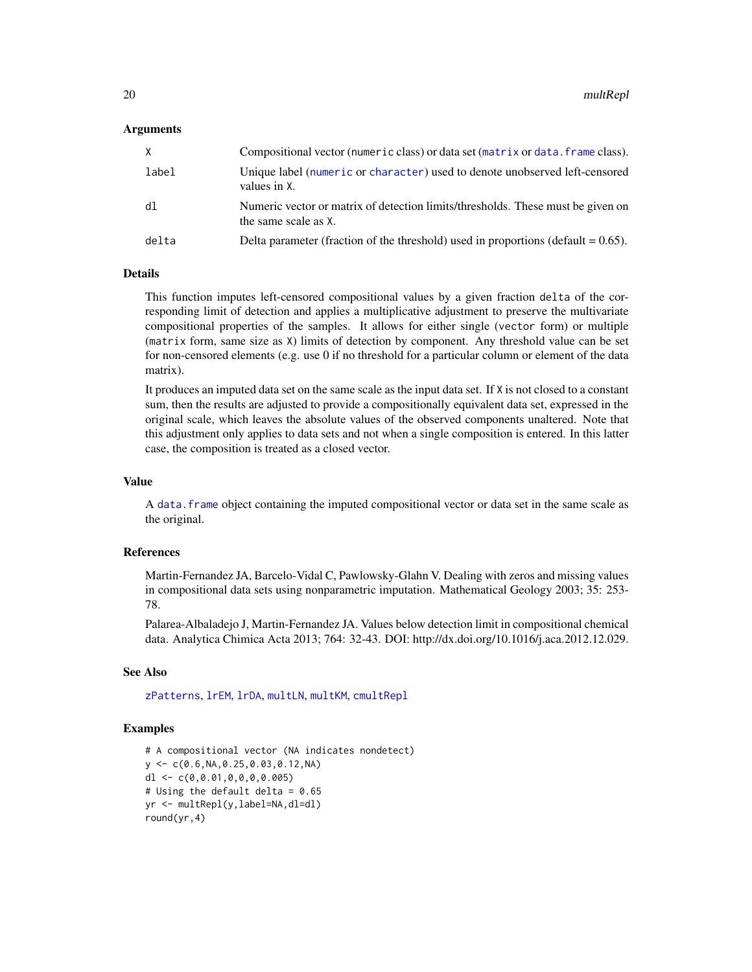#### <span id="page-19-0"></span>Arguments

| X     | Compositional vector (numeric class) or data set (matrix or data, frame class).                         |
|-------|---------------------------------------------------------------------------------------------------------|
| label | Unique label (numeric or character) used to denote unobserved left-censored<br>values in X.             |
| d1    | Numeric vector or matrix of detection limits/thresholds. These must be given on<br>the same scale as X. |
| delta | Delta parameter (fraction of the threshold) used in proportions (default = $0.65$ ).                    |

#### Details

This function imputes left-censored compositional values by a given fraction delta of the corresponding limit of detection and applies a multiplicative adjustment to preserve the multivariate compositional properties of the samples. It allows for either single (vector form) or multiple (matrix form, same size as X) limits of detection by component. Any threshold value can be set for non-censored elements (e.g. use 0 if no threshold for a particular column or element of the data matrix).

It produces an imputed data set on the same scale as the input data set. If X is not closed to a constant sum, then the results are adjusted to provide a compositionally equivalent data set, expressed in the original scale, which leaves the absolute values of the observed components unaltered. Note that this adjustment only applies to data sets and not when a single composition is entered. In this latter case, the composition is treated as a closed vector.

#### Value

A [data.frame](#page-0-0) object containing the imputed compositional vector or data set in the same scale as the original.

#### **References**

Martin-Fernandez JA, Barcelo-Vidal C, Pawlowsky-Glahn V. Dealing with zeros and missing values in compositional data sets using nonparametric imputation. Mathematical Geology 2003; 35: 253- 78.

Palarea-Albaladejo J, Martin-Fernandez JA. Values below detection limit in compositional chemical data. Analytica Chimica Acta 2013; 764: 32-43. DOI: http://dx.doi.org/10.1016/j.aca.2012.12.029.

#### See Also

[zPatterns](#page-25-1), [lrEM](#page-8-1), [lrDA](#page-6-1), [multLN](#page-16-1), [multKM](#page-14-1), [cmultRepl](#page-1-1)

#### Examples

```
# A compositional vector (NA indicates nondetect)
y <- c(0.6,NA,0.25,0.03,0.12,NA)
dl \leftarrow c(0, 0.01, 0, 0, 0, 0.005)# Using the default delta = 0.65
yr <- multRepl(y,label=NA,dl=dl)
round(yr,4)
```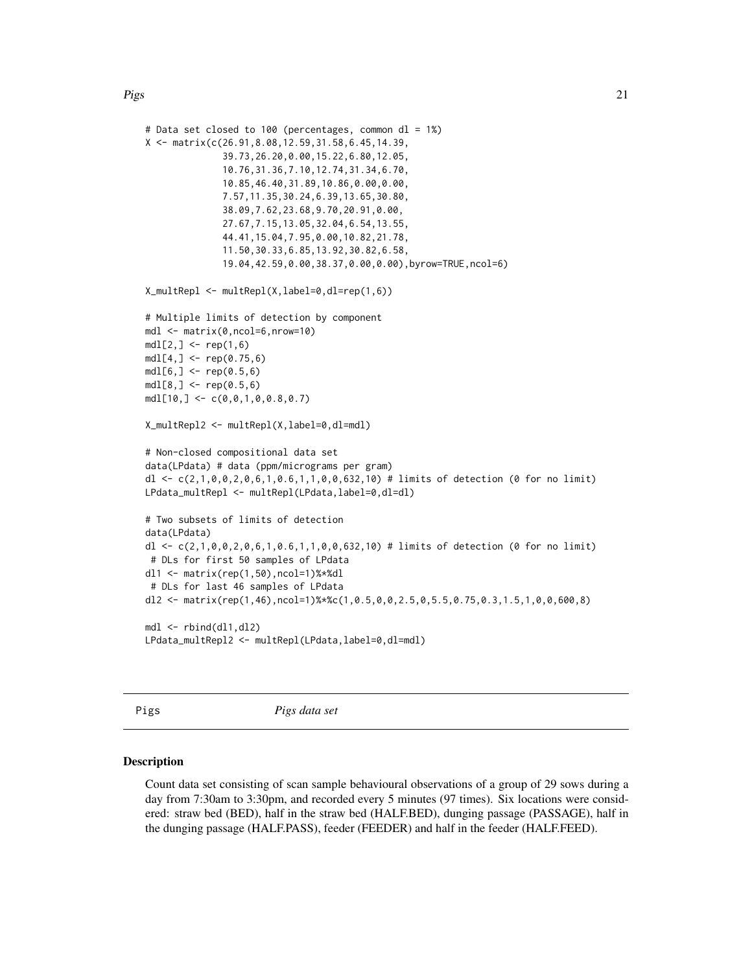```
# Data set closed to 100 (percentages, common dl = 1%)
X <- matrix(c(26.91,8.08,12.59,31.58,6.45,14.39,
              39.73,26.20,0.00,15.22,6.80,12.05,
              10.76,31.36,7.10,12.74,31.34,6.70,
              10.85,46.40,31.89,10.86,0.00,0.00,
              7.57,11.35,30.24,6.39,13.65,30.80,
              38.09,7.62,23.68,9.70,20.91,0.00,
              27.67,7.15,13.05,32.04,6.54,13.55,
              44.41,15.04,7.95,0.00,10.82,21.78,
              11.50,30.33,6.85,13.92,30.82,6.58,
              19.04,42.59,0.00,38.37,0.00,0.00),byrow=TRUE,ncol=6)
X_multRepl <- multRepl(X,label=0,dl=rep(1,6))
# Multiple limits of detection by component
mdl <- matrix(0,ncol=6,nrow=10)
mdl[2, ] \leq rep(1, 6)mdl[4, ] \leq rep(0.75, 6)mdl[6, ] \leq rep(0.5, 6)mdl[8, ] \leq rep(0.5, 6)mdl[10, ] \leftarrow c(0, 0, 1, 0, 0.8, 0.7)X_multRepl2 <- multRepl(X,label=0,dl=mdl)
# Non-closed compositional data set
data(LPdata) # data (ppm/micrograms per gram)
dl <- c(2,1,0,0,2,0,6,1,0.6,1,1,0,0,632,10) # limits of detection (0 for no limit)
LPdata_multRepl <- multRepl(LPdata,label=0,dl=dl)
# Two subsets of limits of detection
data(LPdata)
dl <- c(2,1,0,0,2,0,6,1,0.6,1,1,0,0,632,10) # limits of detection (0 for no limit)
 # DLs for first 50 samples of LPdata
dl1 <- matrix(rep(1,50),ncol=1)%*%dl
 # DLs for last 46 samples of LPdata
dl2 <- matrix(rep(1,46),ncol=1)%*%c(1,0.5,0,0,2.5,0,5.5,0.75,0.3,1.5,1,0,0,600,8)
mdl <- rbind(dl1,dl2)
LPdata_multRepl2 <- multRepl(LPdata,label=0,dl=mdl)
```
Pigs *Pigs data set*

#### Description

Count data set consisting of scan sample behavioural observations of a group of 29 sows during a day from 7:30am to 3:30pm, and recorded every 5 minutes (97 times). Six locations were considered: straw bed (BED), half in the straw bed (HALF.BED), dunging passage (PASSAGE), half in the dunging passage (HALF.PASS), feeder (FEEDER) and half in the feeder (HALF.FEED).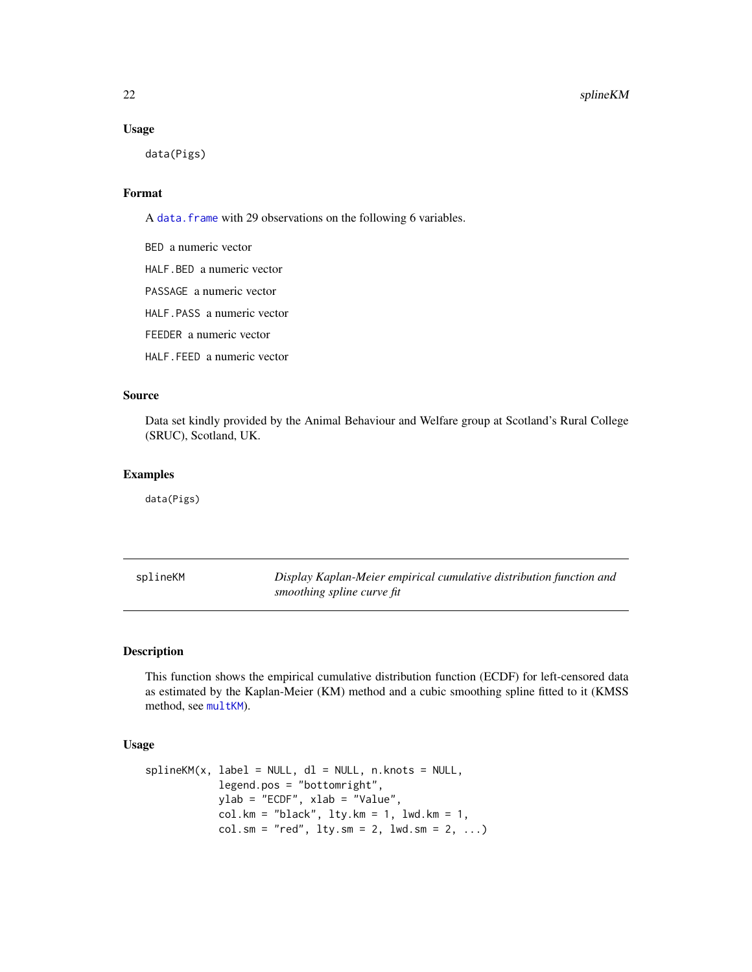#### Usage

data(Pigs)

#### Format

A [data.frame](#page-0-0) with 29 observations on the following 6 variables.

BED a numeric vector

HALF.BED a numeric vector

PASSAGE a numeric vector

HALF.PASS a numeric vector

FEEDER a numeric vector

HALF.FEED a numeric vector

#### Source

Data set kindly provided by the Animal Behaviour and Welfare group at Scotland's Rural College (SRUC), Scotland, UK.

#### Examples

data(Pigs)

<span id="page-21-1"></span>splineKM *Display Kaplan-Meier empirical cumulative distribution function and smoothing spline curve fit*

#### Description

This function shows the empirical cumulative distribution function (ECDF) for left-censored data as estimated by the Kaplan-Meier (KM) method and a cubic smoothing spline fitted to it (KMSS method, see [multKM](#page-14-1)).

#### Usage

```
splitneKM(x, label = NULL, dl = NULL, n.knots = NULL,
            legend.pos = "bottomright",
            ylab = "ECDF", xlab = "Value",
            col.km = "black", \; lty.km = 1, \; lwd.km = 1,col.sm = "red", lty.sm = 2, lwd.sm = 2, ...
```
<span id="page-21-0"></span>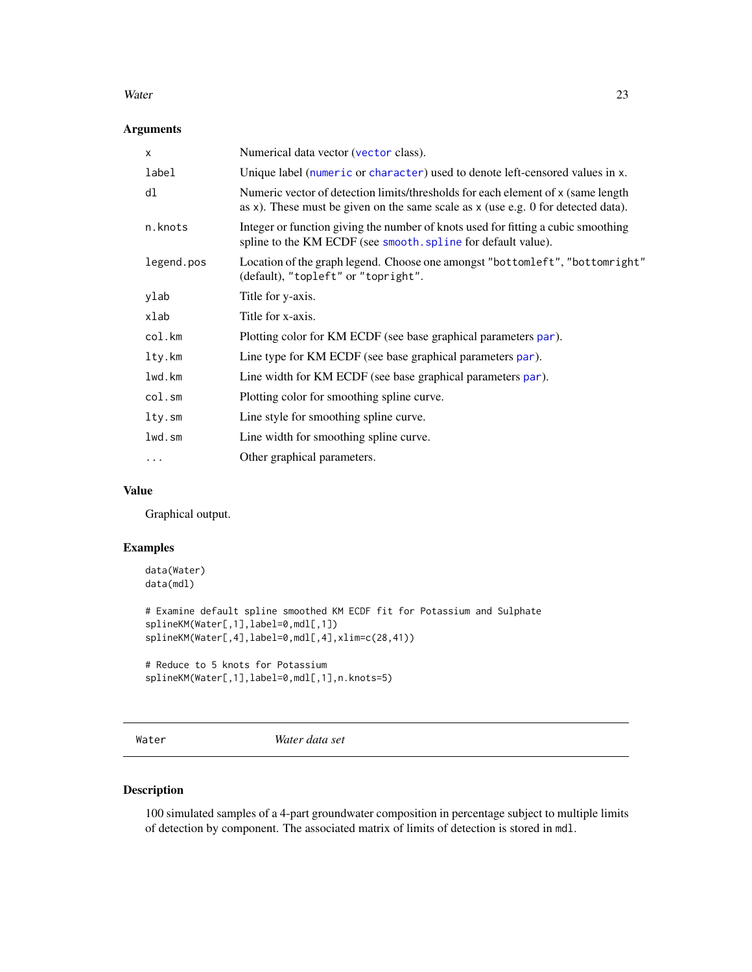#### <span id="page-22-0"></span>Water 23

#### Arguments

| X          | Numerical data vector (vector class).                                                                                                                                   |
|------------|-------------------------------------------------------------------------------------------------------------------------------------------------------------------------|
| label      | Unique label (numeric or character) used to denote left-censored values in x.                                                                                           |
| dl         | Numeric vector of detection limits/thresholds for each element of x (same length<br>as x). These must be given on the same scale as $x$ (use e.g. 0 for detected data). |
| n.knots    | Integer or function giving the number of knots used for fitting a cubic smoothing<br>spline to the KM ECDF (see smooth. spline for default value).                      |
| legend.pos | Location of the graph legend. Choose one amongst "bottomleft", "bottomright"<br>(default), "topleft" or "topright".                                                     |
| ylab       | Title for y-axis.                                                                                                                                                       |
| xlab       | Title for x-axis.                                                                                                                                                       |
| col.km     | Plotting color for KM ECDF (see base graphical parameters par).                                                                                                         |
| lty.km     | Line type for KM ECDF (see base graphical parameters par).                                                                                                              |
| lwd.km     | Line width for KM ECDF (see base graphical parameters par).                                                                                                             |
| col.sm     | Plotting color for smoothing spline curve.                                                                                                                              |
| $lty$ .sm  | Line style for smoothing spline curve.                                                                                                                                  |
| $1$ wd.sm  | Line width for smoothing spline curve.                                                                                                                                  |
| .          | Other graphical parameters.                                                                                                                                             |

#### Value

Graphical output.

#### Examples

```
data(Water)
data(mdl)
# Examine default spline smoothed KM ECDF fit for Potassium and Sulphate
splineKM(Water[,1],label=0,mdl[,1])
splineKM(Water[,4],label=0,mdl[,4],xlim=c(28,41))
# Reduce to 5 knots for Potassium
splineKM(Water[,1],label=0,mdl[,1],n.knots=5)
```
<span id="page-22-1"></span>Water *Water data set*

#### Description

100 simulated samples of a 4-part groundwater composition in percentage subject to multiple limits of detection by component. The associated matrix of limits of detection is stored in mdl.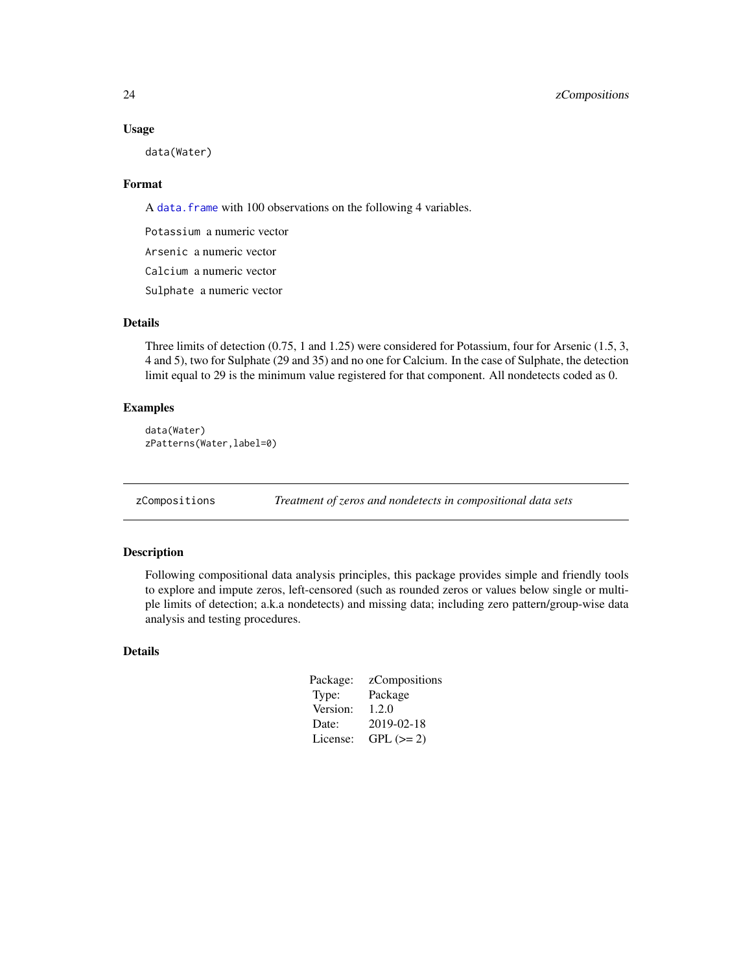#### Usage

data(Water)

#### Format

A [data.frame](#page-0-0) with 100 observations on the following 4 variables.

Potassium a numeric vector

Arsenic a numeric vector

Calcium a numeric vector

Sulphate a numeric vector

#### Details

Three limits of detection (0.75, 1 and 1.25) were considered for Potassium, four for Arsenic (1.5, 3, 4 and 5), two for Sulphate (29 and 35) and no one for Calcium. In the case of Sulphate, the detection limit equal to 29 is the minimum value registered for that component. All nondetects coded as 0.

#### Examples

```
data(Water)
zPatterns(Water,label=0)
```
zCompositions *Treatment of zeros and nondetects in compositional data sets*

#### Description

Following compositional data analysis principles, this package provides simple and friendly tools to explore and impute zeros, left-censored (such as rounded zeros or values below single or multiple limits of detection; a.k.a nondetects) and missing data; including zero pattern/group-wise data analysis and testing procedures.

#### Details

| zCompositions |
|---------------|
| Package       |
| 1.2.0         |
| 2019-02-18    |
| $GPL (= 2)$   |
|               |

<span id="page-23-0"></span>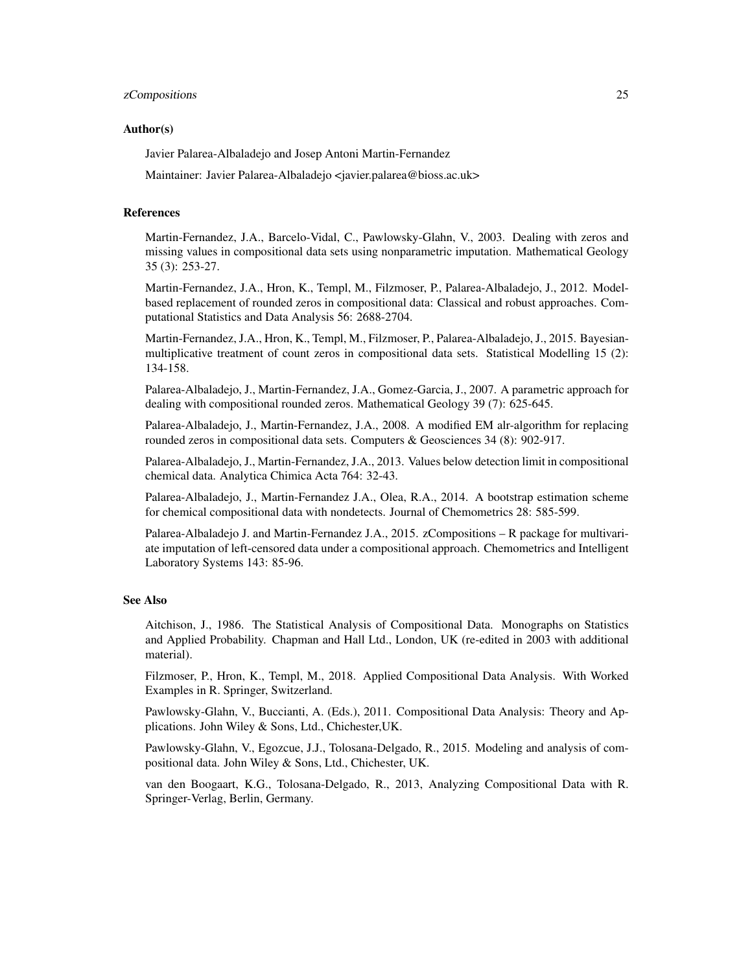#### zCompositions 25

#### Author(s)

Javier Palarea-Albaladejo and Josep Antoni Martin-Fernandez

Maintainer: Javier Palarea-Albaladejo <javier.palarea@bioss.ac.uk>

#### **References**

Martin-Fernandez, J.A., Barcelo-Vidal, C., Pawlowsky-Glahn, V., 2003. Dealing with zeros and missing values in compositional data sets using nonparametric imputation. Mathematical Geology 35 (3): 253-27.

Martin-Fernandez, J.A., Hron, K., Templ, M., Filzmoser, P., Palarea-Albaladejo, J., 2012. Modelbased replacement of rounded zeros in compositional data: Classical and robust approaches. Computational Statistics and Data Analysis 56: 2688-2704.

Martin-Fernandez, J.A., Hron, K., Templ, M., Filzmoser, P., Palarea-Albaladejo, J., 2015. Bayesianmultiplicative treatment of count zeros in compositional data sets. Statistical Modelling 15 (2): 134-158.

Palarea-Albaladejo, J., Martin-Fernandez, J.A., Gomez-Garcia, J., 2007. A parametric approach for dealing with compositional rounded zeros. Mathematical Geology 39 (7): 625-645.

Palarea-Albaladejo, J., Martin-Fernandez, J.A., 2008. A modified EM alr-algorithm for replacing rounded zeros in compositional data sets. Computers & Geosciences 34 (8): 902-917.

Palarea-Albaladejo, J., Martin-Fernandez, J.A., 2013. Values below detection limit in compositional chemical data. Analytica Chimica Acta 764: 32-43.

Palarea-Albaladejo, J., Martin-Fernandez J.A., Olea, R.A., 2014. A bootstrap estimation scheme for chemical compositional data with nondetects. Journal of Chemometrics 28: 585-599.

Palarea-Albaladejo J. and Martin-Fernandez J.A., 2015. zCompositions – R package for multivariate imputation of left-censored data under a compositional approach. Chemometrics and Intelligent Laboratory Systems 143: 85-96.

#### See Also

Aitchison, J., 1986. The Statistical Analysis of Compositional Data. Monographs on Statistics and Applied Probability. Chapman and Hall Ltd., London, UK (re-edited in 2003 with additional material).

Filzmoser, P., Hron, K., Templ, M., 2018. Applied Compositional Data Analysis. With Worked Examples in R. Springer, Switzerland.

Pawlowsky-Glahn, V., Buccianti, A. (Eds.), 2011. Compositional Data Analysis: Theory and Applications. John Wiley & Sons, Ltd., Chichester,UK.

Pawlowsky-Glahn, V., Egozcue, J.J., Tolosana-Delgado, R., 2015. Modeling and analysis of compositional data. John Wiley & Sons, Ltd., Chichester, UK.

van den Boogaart, K.G., Tolosana-Delgado, R., 2013, Analyzing Compositional Data with R. Springer-Verlag, Berlin, Germany.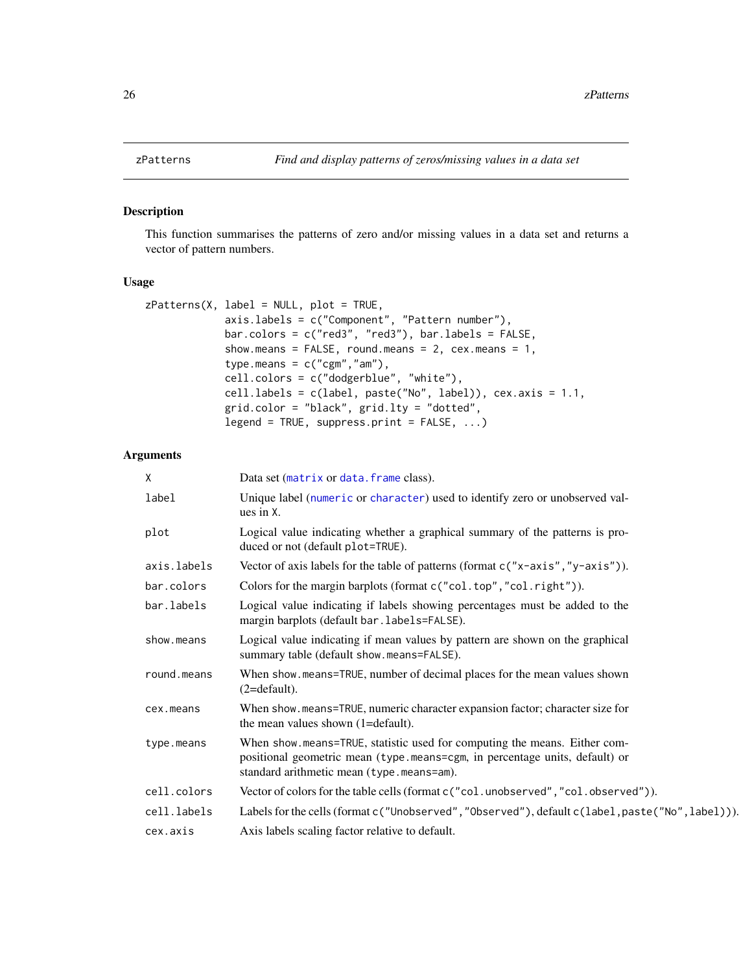<span id="page-25-1"></span><span id="page-25-0"></span>

#### Description

This function summarises the patterns of zero and/or missing values in a data set and returns a vector of pattern numbers.

#### Usage

```
zPatterns(X, label = NULL, plot = TRUE,axis.labels = c("Component", "Pattern number"),
             bar.colors = c("red3", "red3"), bar.labels = FALSE,
             show.means = FALSE, round.means = 2, cex.means = 1,
             type.means = c("cgm", "am"),
             cell.colors = c("dodgerblue", "white"),
             cell.labels = c(label, paste("No", label)), cex.axis = 1.1,
             grid.color = "black", grid.lty = "dotted",
             legend = TRUE, suppress.print = FALSE, ...)
```
#### Arguments

| X           | Data set (matrix or data. frame class).                                                                                                                                                               |
|-------------|-------------------------------------------------------------------------------------------------------------------------------------------------------------------------------------------------------|
| label       | Unique label (numeric or character) used to identify zero or unobserved val-<br>ues in $X$ .                                                                                                          |
| plot        | Logical value indicating whether a graphical summary of the patterns is pro-<br>duced or not (default plot=TRUE).                                                                                     |
| axis.labels | Vector of axis labels for the table of patterns (format $c("x-axis", "y-axis"))$ .                                                                                                                    |
| bar.colors  | Colors for the margin barplots (format c("col.top","col.right")).                                                                                                                                     |
| bar.labels  | Logical value indicating if labels showing percentages must be added to the<br>margin barplots (default bar. labels=FALSE).                                                                           |
| show.means  | Logical value indicating if mean values by pattern are shown on the graphical<br>summary table (default show.means=FALSE).                                                                            |
| round.means | When show means=TRUE, number of decimal places for the mean values shown<br>$(2=default).$                                                                                                            |
| cex.means   | When show.means=TRUE, numeric character expansion factor; character size for<br>the mean values shown (1=default).                                                                                    |
| type.means  | When show means=TRUE, statistic used for computing the means. Either com-<br>positional geometric mean (type means=cgm, in percentage units, default) or<br>standard arithmetic mean (type.means=am). |
| cell.colors | Vector of colors for the table cells (format c ("col.unobserved", "col.observed")).                                                                                                                   |
| cell.labels | Labels for the cells (format c("Unobserved", "Observed"), default c(label, paste("No", label))).                                                                                                      |
| cex.axis    | Axis labels scaling factor relative to default.                                                                                                                                                       |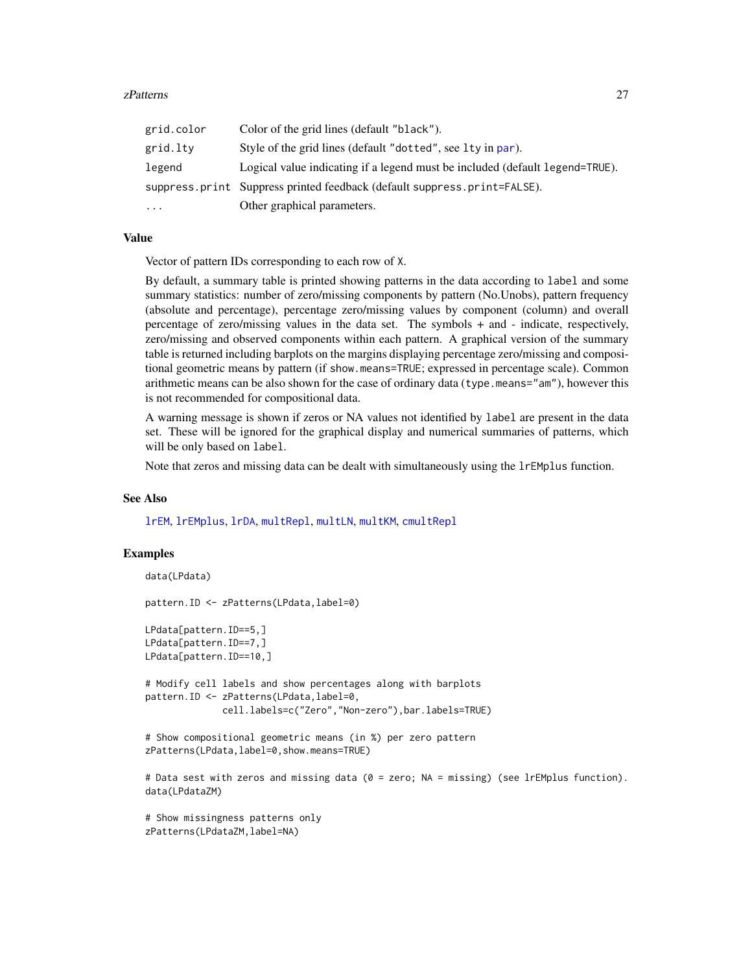#### <span id="page-26-0"></span>zPatterns 27

| grid.color | Color of the grid lines (default "black").                                   |
|------------|------------------------------------------------------------------------------|
| grid.lty   | Style of the grid lines (default "dotted", see 1ty in par).                  |
| legend     | Logical value indicating if a legend must be included (default legend=TRUE). |
|            | suppress.print Suppress printed feedback (default suppress.print=FALSE).     |
| $\ddotsc$  | Other graphical parameters.                                                  |

#### Value

Vector of pattern IDs corresponding to each row of X.

By default, a summary table is printed showing patterns in the data according to label and some summary statistics: number of zero/missing components by pattern (No.Unobs), pattern frequency (absolute and percentage), percentage zero/missing values by component (column) and overall percentage of zero/missing values in the data set. The symbols + and - indicate, respectively, zero/missing and observed components within each pattern. A graphical version of the summary table is returned including barplots on the margins displaying percentage zero/missing and compositional geometric means by pattern (if show.means=TRUE; expressed in percentage scale). Common arithmetic means can be also shown for the case of ordinary data (type.means="am"), however this is not recommended for compositional data.

A warning message is shown if zeros or NA values not identified by label are present in the data set. These will be ignored for the graphical display and numerical summaries of patterns, which will be only based on label.

Note that zeros and missing data can be dealt with simultaneously using the lrEMplus function.

#### See Also

[lrEM](#page-8-1), [lrEMplus](#page-11-1), [lrDA](#page-6-1), [multRepl](#page-18-1), [multLN](#page-16-1), [multKM](#page-14-1), [cmultRepl](#page-1-1)

#### Examples

zPatterns(LPdataZM,label=NA)

```
data(LPdata)
pattern.ID <- zPatterns(LPdata,label=0)
LPdata[pattern.ID==5,]
LPdata[pattern.ID==7,]
LPdata[pattern.ID==10,]
# Modify cell labels and show percentages along with barplots
pattern.ID <- zPatterns(LPdata,label=0,
              cell.labels=c("Zero","Non-zero"),bar.labels=TRUE)
# Show compositional geometric means (in %) per zero pattern
zPatterns(LPdata, label=0, show.means=TRUE)
# Data sest with zeros and missing data (0 = zero; NA = missing) (see lrEMplus function).
data(LPdataZM)
# Show missingness patterns only
```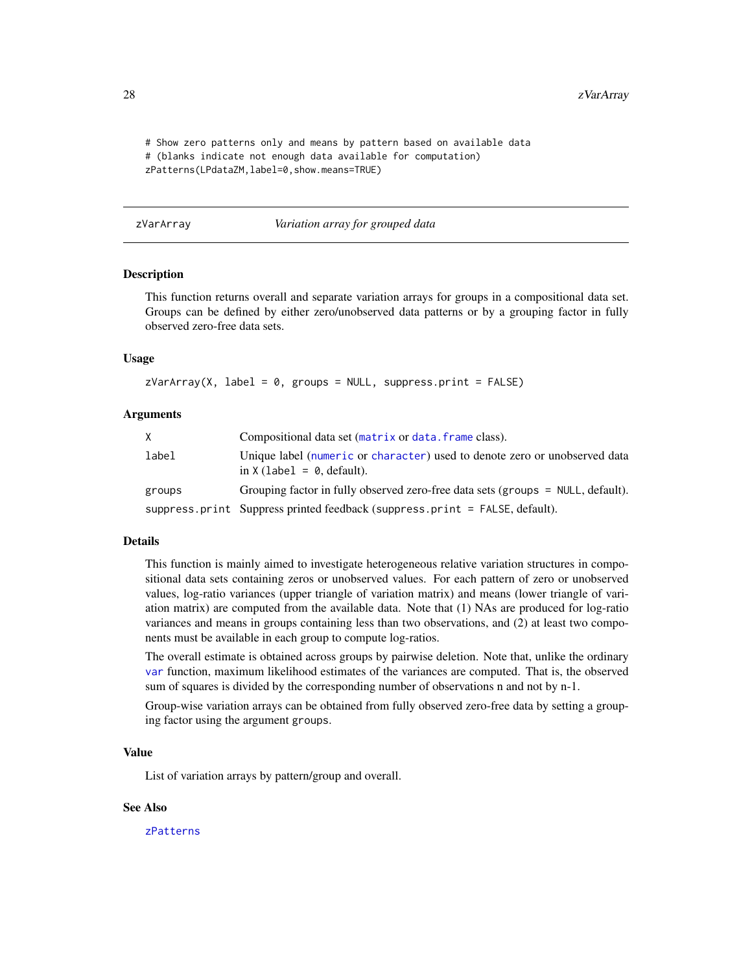<span id="page-27-0"></span># Show zero patterns only and means by pattern based on available data # (blanks indicate not enough data available for computation) zPatterns(LPdataZM, label=0, show.means=TRUE)

<span id="page-27-1"></span>zVarArray *Variation array for grouped data*

#### Description

This function returns overall and separate variation arrays for groups in a compositional data set. Groups can be defined by either zero/unobserved data patterns or by a grouping factor in fully observed zero-free data sets.

#### Usage

 $zVarArray(X, label = 0, groups = NULL, suppress.print = FALSE)$ 

#### Arguments

| X.     | Compositional data set (matrix or data, frame class).                                                      |
|--------|------------------------------------------------------------------------------------------------------------|
| label  | Unique label (numeric or character) used to denote zero or unobserved data<br>in $X$ (label = 0, default). |
| groups | Grouping factor in fully observed zero-free data sets (groups = NULL, default).                            |
|        | suppress.print Suppress printed feedback (suppress.print = FALSE, default).                                |

#### Details

This function is mainly aimed to investigate heterogeneous relative variation structures in compositional data sets containing zeros or unobserved values. For each pattern of zero or unobserved values, log-ratio variances (upper triangle of variation matrix) and means (lower triangle of variation matrix) are computed from the available data. Note that (1) NAs are produced for log-ratio variances and means in groups containing less than two observations, and (2) at least two components must be available in each group to compute log-ratios.

The overall estimate is obtained across groups by pairwise deletion. Note that, unlike the ordinary [var](#page-0-0) function, maximum likelihood estimates of the variances are computed. That is, the observed sum of squares is divided by the corresponding number of observations n and not by n-1.

Group-wise variation arrays can be obtained from fully observed zero-free data by setting a grouping factor using the argument groups.

#### Value

List of variation arrays by pattern/group and overall.

#### See Also

[zPatterns](#page-25-1)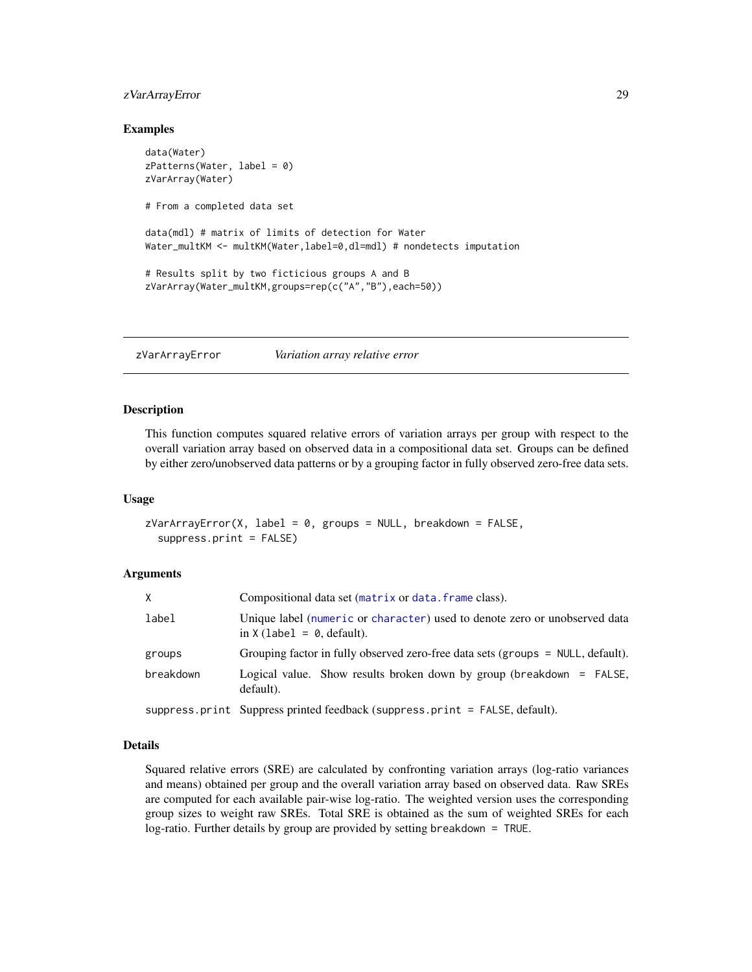#### <span id="page-28-0"></span>zVarArrayError 29

#### Examples

```
data(Water)
zPatterns(Water, label = 0)zVarArray(Water)
# From a completed data set
data(mdl) # matrix of limits of detection for Water
Water_multKM <- multKM(Water,label=0,dl=mdl) # nondetects imputation
# Results split by two ficticious groups A and B
zVarArray(Water_multKM,groups=rep(c("A","B"),each=50))
```
<span id="page-28-1"></span>zVarArrayError *Variation array relative error*

#### Description

This function computes squared relative errors of variation arrays per group with respect to the overall variation array based on observed data in a compositional data set. Groups can be defined by either zero/unobserved data patterns or by a grouping factor in fully observed zero-free data sets.

#### Usage

```
zVarArrayError(X, label = 0, groups = NULL, breakdown = FALSE,suppress.print = FALSE)
```
#### Arguments

| X.        | Compositional data set (matrix or data. frame class).                                                      |
|-----------|------------------------------------------------------------------------------------------------------------|
| label     | Unique label (numeric or character) used to denote zero or unobserved data<br>in $X$ (label = 0, default). |
| groups    | Grouping factor in fully observed zero-free data sets (groups = NULL, default).                            |
| breakdown | Logical value. Show results broken down by group (breakdown = $FALSE$ ,<br>default).                       |
|           | suppress.print Suppress printed feedback (suppress.print = FALSE, default).                                |

#### Details

Squared relative errors (SRE) are calculated by confronting variation arrays (log-ratio variances and means) obtained per group and the overall variation array based on observed data. Raw SREs are computed for each available pair-wise log-ratio. The weighted version uses the corresponding group sizes to weight raw SREs. Total SRE is obtained as the sum of weighted SREs for each log-ratio. Further details by group are provided by setting breakdown = TRUE.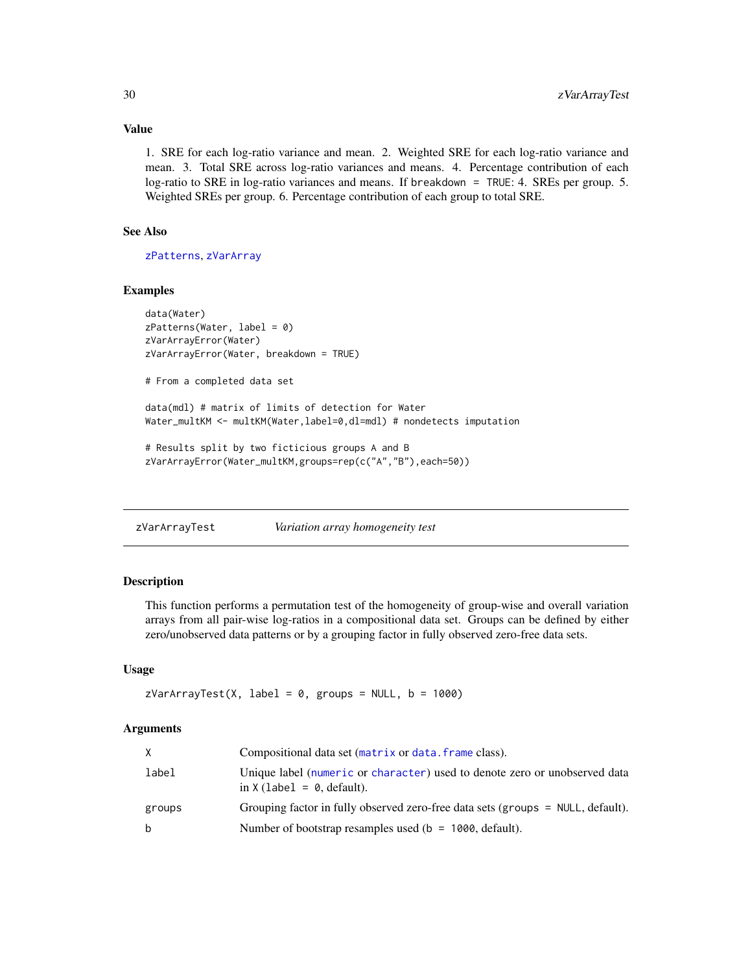#### Value

1. SRE for each log-ratio variance and mean. 2. Weighted SRE for each log-ratio variance and mean. 3. Total SRE across log-ratio variances and means. 4. Percentage contribution of each log-ratio to SRE in log-ratio variances and means. If breakdown = TRUE: 4. SREs per group. 5. Weighted SREs per group. 6. Percentage contribution of each group to total SRE.

#### See Also

[zPatterns](#page-25-1), [zVarArray](#page-27-1)

#### Examples

```
data(Water)
zPatterns(Water, label = 0)zVarArrayError(Water)
zVarArrayError(Water, breakdown = TRUE)
# From a completed data set
data(mdl) # matrix of limits of detection for Water
Water_multKM <- multKM(Water,label=0,dl=mdl) # nondetects imputation
# Results split by two ficticious groups A and B
zVarArrayError(Water_multKM,groups=rep(c("A","B"),each=50))
```
<span id="page-29-1"></span>zVarArrayTest *Variation array homogeneity test*

#### Description

This function performs a permutation test of the homogeneity of group-wise and overall variation arrays from all pair-wise log-ratios in a compositional data set. Groups can be defined by either zero/unobserved data patterns or by a grouping factor in fully observed zero-free data sets.

#### Usage

```
zVarArrayTest(X, label = 0, groups = NULL, b = 1000)
```
#### Arguments

|        | Compositional data set (matrix or data, frame class).                                                      |
|--------|------------------------------------------------------------------------------------------------------------|
| label  | Unique label (numeric or character) used to denote zero or unobserved data<br>in $X$ (label = 0, default). |
| groups | Grouping factor in fully observed zero-free data sets (groups = NULL, default).                            |
| b.     | Number of bootstrap resamples used ( $b = 1000$ , default).                                                |

<span id="page-29-0"></span>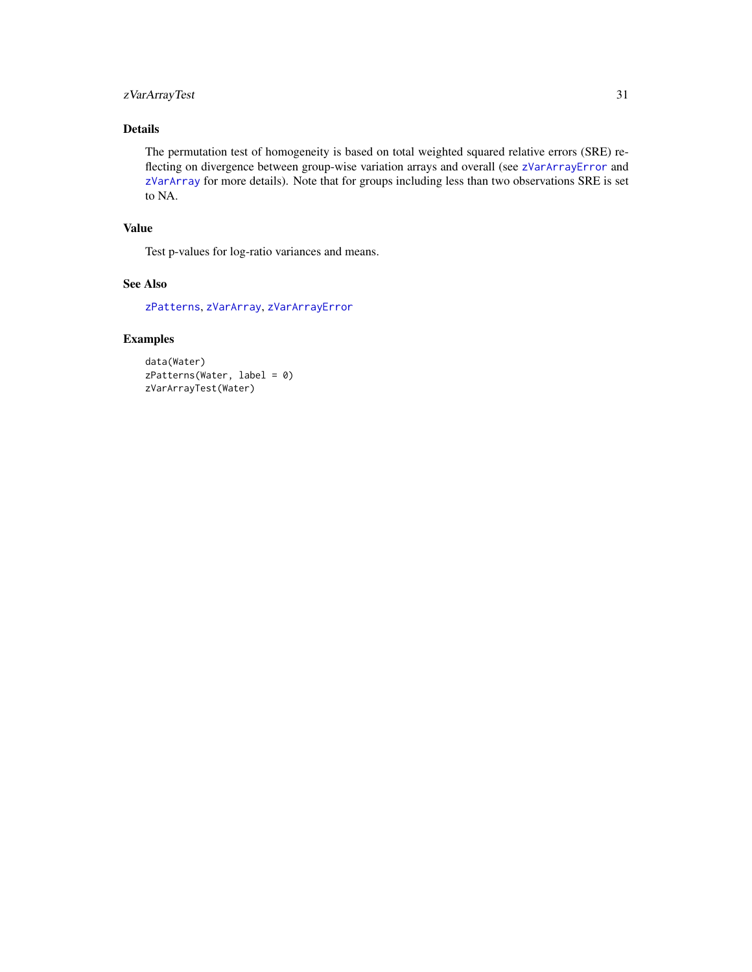#### <span id="page-30-0"></span>zVarArrayTest 31

### Details

The permutation test of homogeneity is based on total weighted squared relative errors (SRE) reflecting on divergence between group-wise variation arrays and overall (see [zVarArrayError](#page-28-1) and [zVarArray](#page-27-1) for more details). Note that for groups including less than two observations SRE is set to NA.

#### Value

Test p-values for log-ratio variances and means.

#### See Also

[zPatterns](#page-25-1), [zVarArray](#page-27-1), [zVarArrayError](#page-28-1)

#### Examples

```
data(Water)
zPatterns(Water, label = 0)
zVarArrayTest(Water)
```